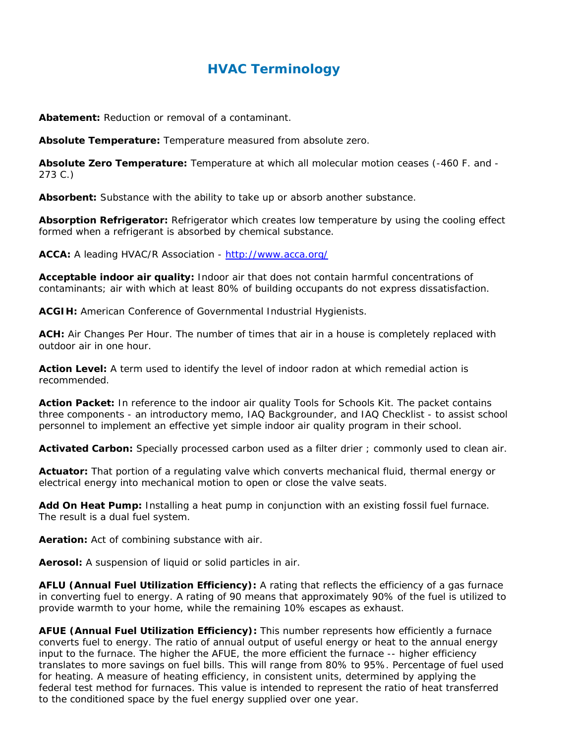## **HVAC Terminology**

**Abatement:** Reduction or removal of a contaminant.

**Absolute Temperature:** Temperature measured from absolute zero.

**Absolute Zero Temperature:** Temperature at which all molecular motion ceases (-460 F. and - 273 C.)

**Absorbent:** Substance with the ability to take up or absorb another substance.

**Absorption Refrigerator:** Refrigerator which creates low temperature by using the cooling effect formed when a refrigerant is absorbed by chemical substance.

**ACCA:** A leading HVAC/R Association - http://www.acca.org/

**Acceptable indoor air quality:** Indoor air that does not contain harmful concentrations of contaminants; air with which at least 80% of building occupants do not express dissatisfaction.

**ACGIH:** American Conference of Governmental Industrial Hygienists.

**ACH:** Air Changes Per Hour. The number of times that air in a house is completely replaced with outdoor air in one hour.

**Action Level:** A term used to identify the level of indoor radon at which remedial action is recommended.

**Action Packet:** In reference to the indoor air quality Tools for Schools Kit. The packet contains three components - an introductory memo, IAQ Backgrounder, and IAQ Checklist - to assist school personnel to implement an effective yet simple indoor air quality program in their school.

Activated Carbon: Specially processed carbon used as a filter drier; commonly used to clean air.

**Actuator:** That portion of a regulating valve which converts mechanical fluid, thermal energy or electrical energy into mechanical motion to open or close the valve seats.

**Add On Heat Pump:** Installing a heat pump in conjunction with an existing fossil fuel furnace. The result is a dual fuel system.

**Aeration:** Act of combining substance with air.

**Aerosol:** A suspension of liquid or solid particles in air.

**AFLU (Annual Fuel Utilization Efficiency):** A rating that reflects the efficiency of a gas furnace in converting fuel to energy. A rating of 90 means that approximately 90% of the fuel is utilized to provide warmth to your home, while the remaining 10% escapes as exhaust.

**AFUE (Annual Fuel Utilization Efficiency):** This number represents how efficiently a furnace converts fuel to energy. The ratio of annual output of useful energy or heat to the annual energy input to the furnace. The higher the AFUE, the more efficient the furnace -- higher efficiency translates to more savings on fuel bills. This will range from 80% to 95%. Percentage of fuel used for heating. A measure of heating efficiency, in consistent units, determined by applying the federal test method for furnaces. This value is intended to represent the ratio of heat transferred to the conditioned space by the fuel energy supplied over one year.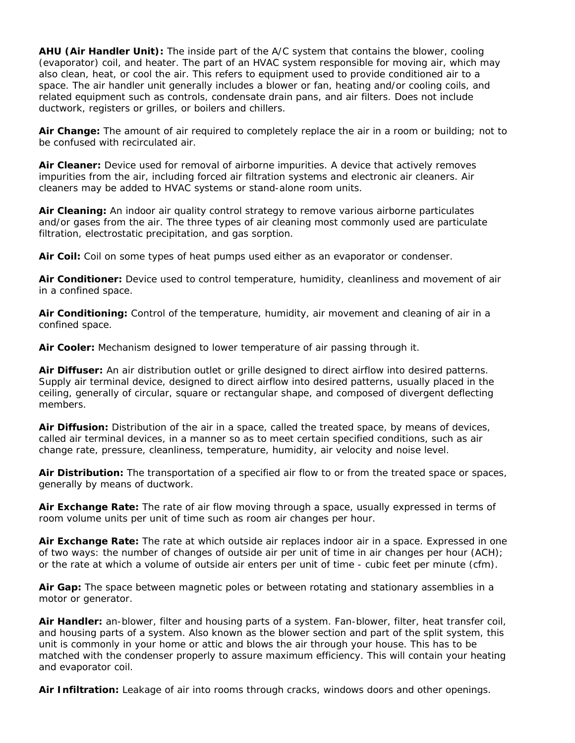**AHU (Air Handler Unit):** The inside part of the A/C system that contains the blower, cooling (evaporator) coil, and heater. The part of an HVAC system responsible for moving air, which may also clean, heat, or cool the air. This refers to equipment used to provide conditioned air to a space. The air handler unit generally includes a blower or fan, heating and/or cooling coils, and related equipment such as controls, condensate drain pans, and air filters. Does not include ductwork, registers or grilles, or boilers and chillers.

**Air Change:** The amount of air required to completely replace the air in a room or building; not to be confused with recirculated air.

**Air Cleaner:** Device used for removal of airborne impurities. A device that actively removes impurities from the air, including forced air filtration systems and electronic air cleaners. Air cleaners may be added to HVAC systems or stand-alone room units.

**Air Cleaning:** An indoor air quality control strategy to remove various airborne particulates and/or gases from the air. The three types of air cleaning most commonly used are particulate filtration, electrostatic precipitation, and gas sorption.

**Air Coil:** Coil on some types of heat pumps used either as an evaporator or condenser.

**Air Conditioner:** Device used to control temperature, humidity, cleanliness and movement of air in a confined space.

**Air Conditioning:** Control of the temperature, humidity, air movement and cleaning of air in a confined space.

**Air Cooler:** Mechanism designed to lower temperature of air passing through it.

**Air Diffuser:** An air distribution outlet or grille designed to direct airflow into desired patterns. Supply air terminal device, designed to direct airflow into desired patterns, usually placed in the ceiling, generally of circular, square or rectangular shape, and composed of divergent deflecting members.

**Air Diffusion:** Distribution of the air in a space, called the treated space, by means of devices, called air terminal devices, in a manner so as to meet certain specified conditions, such as air change rate, pressure, cleanliness, temperature, humidity, air velocity and noise level.

**Air Distribution:** The transportation of a specified air flow to or from the treated space or spaces, generally by means of ductwork.

**Air Exchange Rate:** The rate of air flow moving through a space, usually expressed in terms of room volume units per unit of time such as room air changes per hour.

**Air Exchange Rate:** The rate at which outside air replaces indoor air in a space. Expressed in one of two ways: the number of changes of outside air per unit of time in air changes per hour (ACH); or the rate at which a volume of outside air enters per unit of time - cubic feet per minute (cfm).

**Air Gap:** The space between magnetic poles or between rotating and stationary assemblies in a motor or generator.

**Air Handler:** an-blower, filter and housing parts of a system. Fan-blower, filter, heat transfer coil, and housing parts of a system. Also known as the blower section and part of the split system, this unit is commonly in your home or attic and blows the air through your house. This has to be matched with the condenser properly to assure maximum efficiency. This will contain your heating and evaporator coil.

**Air Infiltration:** Leakage of air into rooms through cracks, windows doors and other openings.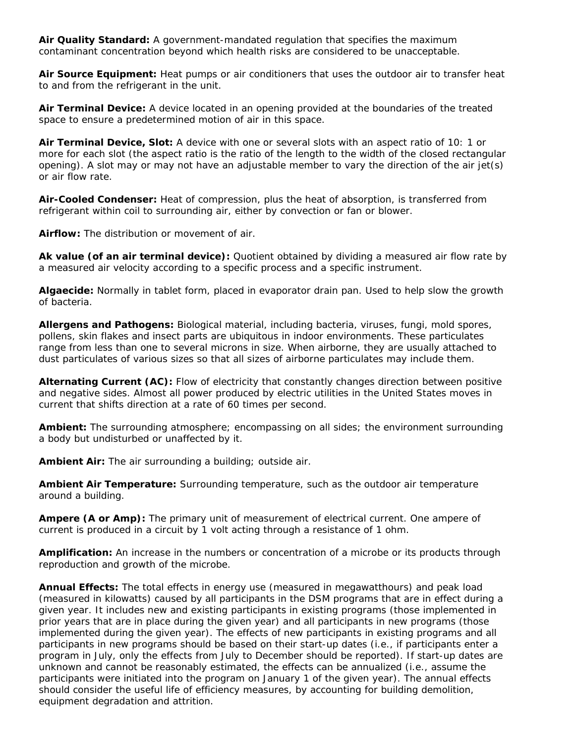**Air Quality Standard:** A government-mandated regulation that specifies the maximum contaminant concentration beyond which health risks are considered to be unacceptable.

**Air Source Equipment:** Heat pumps or air conditioners that uses the outdoor air to transfer heat to and from the refrigerant in the unit.

**Air Terminal Device:** A device located in an opening provided at the boundaries of the treated space to ensure a predetermined motion of air in this space.

**Air Terminal Device, Slot:** A device with one or several slots with an aspect ratio of 10: 1 or more for each slot (the aspect ratio is the ratio of the length to the width of the closed rectangular opening). A slot may or may not have an adjustable member to vary the direction of the air jet(s) or air flow rate.

**Air-Cooled Condenser:** Heat of compression, plus the heat of absorption, is transferred from refrigerant within coil to surrounding air, either by convection or fan or blower.

**Airflow:** The distribution or movement of air.

**Ak value (of an air terminal device):** Quotient obtained by dividing a measured air flow rate by a measured air velocity according to a specific process and a specific instrument.

**Algaecide:** Normally in tablet form, placed in evaporator drain pan. Used to help slow the growth of bacteria.

**Allergens and Pathogens:** Biological material, including bacteria, viruses, fungi, mold spores, pollens, skin flakes and insect parts are ubiquitous in indoor environments. These particulates range from less than one to several microns in size. When airborne, they are usually attached to dust particulates of various sizes so that all sizes of airborne particulates may include them.

Alternating Current (AC): Flow of electricity that constantly changes direction between positive and negative sides. Almost all power produced by electric utilities in the United States moves in current that shifts direction at a rate of 60 times per second.

**Ambient:** The surrounding atmosphere; encompassing on all sides; the environment surrounding a body but undisturbed or unaffected by it.

**Ambient Air:** The air surrounding a building; outside air.

**Ambient Air Temperature:** Surrounding temperature, such as the outdoor air temperature around a building.

**Ampere (A or Amp):** The primary unit of measurement of electrical current. One ampere of current is produced in a circuit by 1 volt acting through a resistance of 1 ohm.

**Amplification:** An increase in the numbers or concentration of a microbe or its products through reproduction and growth of the microbe.

**Annual Effects:** The total effects in energy use (measured in megawatthours) and peak load (measured in kilowatts) caused by all participants in the DSM programs that are in effect during a given year. It includes new and existing participants in existing programs (those implemented in prior years that are in place during the given year) and all participants in new programs (those implemented during the given year). The effects of new participants in existing programs and all participants in new programs should be based on their start-up dates (i.e., if participants enter a program in July, only the effects from July to December should be reported). If start-up dates are unknown and cannot be reasonably estimated, the effects can be annualized (i.e., assume the participants were initiated into the program on January 1 of the given year). The annual effects should consider the useful life of efficiency measures, by accounting for building demolition, equipment degradation and attrition.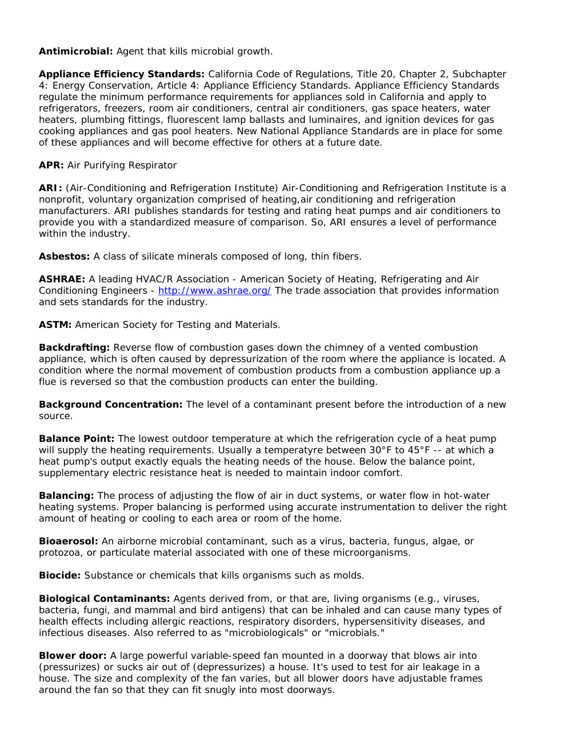**Antimicrobial:** Agent that kills microbial growth.

**Appliance Efficiency Standards:** California Code of Regulations, Title 20, Chapter 2, Subchapter 4: Energy Conservation, Article 4: Appliance Efficiency Standards. Appliance Efficiency Standards regulate the minimum performance requirements for appliances sold in California and apply to refrigerators, freezers, room air conditioners, central air conditioners, gas space heaters, water heaters, plumbing fittings, fluorescent lamp ballasts and luminaires, and ignition devices for gas cooking appliances and gas pool heaters. New National Appliance Standards are in place for some of these appliances and will become effective for others at a future date.

**APR:** Air Purifying Respirator

**ARI:** (Air-Conditioning and Refrigeration Institute) Air-Conditioning and Refrigeration Institute is a nonprofit, voluntary organization comprised of heating,air conditioning and refrigeration manufacturers. ARI publishes standards for testing and rating heat pumps and air conditioners to provide you with a standardized measure of comparison. So, ARI ensures a level of performance within the industry.

**Asbestos:** A class of silicate minerals composed of long, thin fibers.

**ASHRAE:** A leading HVAC/R Association - American Society of Heating, Refrigerating and Air Conditioning Engineers - http://www.ashrae.org/ The trade association that provides information and sets standards for the industry.

**ASTM:** American Society for Testing and Materials.

**Backdrafting:** Reverse flow of combustion gases down the chimney of a vented combustion appliance, which is often caused by depressurization of the room where the appliance is located. A condition where the normal movement of combustion products from a combustion appliance up a flue is reversed so that the combustion products can enter the building.

**Background Concentration:** The level of a contaminant present before the introduction of a new source.

**Balance Point:** The lowest outdoor temperature at which the refrigeration cycle of a heat pump will supply the heating requirements. Usually a temperatyre between 30°F to 45°F -- at which a heat pump's output exactly equals the heating needs of the house. Below the balance point, supplementary electric resistance heat is needed to maintain indoor comfort.

**Balancing:** The process of adjusting the flow of air in duct systems, or water flow in hot-water heating systems. Proper balancing is performed using accurate instrumentation to deliver the right amount of heating or cooling to each area or room of the home.

**Bioaerosol:** An airborne microbial contaminant, such as a virus, bacteria, fungus, algae, or protozoa, or particulate material associated with one of these microorganisms.

**Biocide:** Substance or chemicals that kills organisms such as molds.

**Biological Contaminants:** Agents derived from, or that are, living organisms (e.g., viruses, bacteria, fungi, and mammal and bird antigens) that can be inhaled and can cause many types of health effects including allergic reactions, respiratory disorders, hypersensitivity diseases, and infectious diseases. Also referred to as "microbiologicals" or "microbials."

**Blower door:** A large powerful variable-speed fan mounted in a doorway that blows air into (pressurizes) or sucks air out of (depressurizes) a house. It's used to test for air leakage in a house. The size and complexity of the fan varies, but all blower doors have adjustable frames around the fan so that they can fit snugly into most doorways.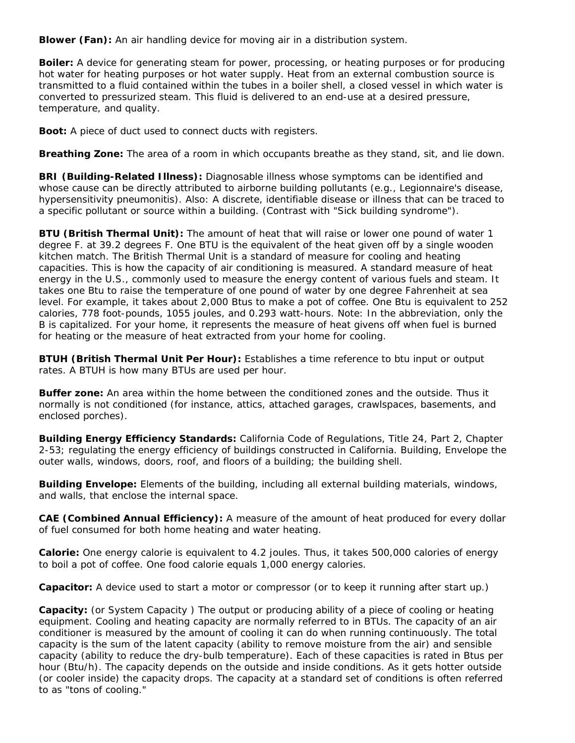**Blower (Fan):** An air handling device for moving air in a distribution system.

**Boiler:** A device for generating steam for power, processing, or heating purposes or for producing hot water for heating purposes or hot water supply. Heat from an external combustion source is transmitted to a fluid contained within the tubes in a boiler shell, a closed vessel in which water is converted to pressurized steam. This fluid is delivered to an end-use at a desired pressure, temperature, and quality.

**Boot:** A piece of duct used to connect ducts with registers.

**Breathing Zone:** The area of a room in which occupants breathe as they stand, sit, and lie down.

**BRI (Building-Related Illness):** Diagnosable illness whose symptoms can be identified and whose cause can be directly attributed to airborne building pollutants (e.g., Legionnaire's disease, hypersensitivity pneumonitis). Also: A discrete, identifiable disease or illness that can be traced to a specific pollutant or source within a building. (Contrast with "Sick building syndrome").

**BTU (British Thermal Unit):** The amount of heat that will raise or lower one pound of water 1 degree F. at 39.2 degrees F. One BTU is the equivalent of the heat given off by a single wooden kitchen match. The British Thermal Unit is a standard of measure for cooling and heating capacities. This is how the capacity of air conditioning is measured. A standard measure of heat energy in the U.S., commonly used to measure the energy content of various fuels and steam. It takes one Btu to raise the temperature of one pound of water by one degree Fahrenheit at sea level. For example, it takes about 2,000 Btus to make a pot of coffee. One Btu is equivalent to 252 calories, 778 foot-pounds, 1055 joules, and 0.293 watt-hours. Note: In the abbreviation, only the B is capitalized. For your home, it represents the measure of heat givens off when fuel is burned for heating or the measure of heat extracted from your home for cooling.

**BTUH (British Thermal Unit Per Hour):** Establishes a time reference to btu input or output rates. A BTUH is how many BTUs are used per hour.

**Buffer zone:** An area within the home between the conditioned zones and the outside. Thus it normally is not conditioned (for instance, attics, attached garages, crawlspaces, basements, and enclosed porches).

**Building Energy Efficiency Standards:** California Code of Regulations, Title 24, Part 2, Chapter 2-53; regulating the energy efficiency of buildings constructed in California. Building, Envelope the outer walls, windows, doors, roof, and floors of a building; the building shell.

**Building Envelope:** Elements of the building, including all external building materials, windows, and walls, that enclose the internal space.

**CAE (Combined Annual Efficiency):** A measure of the amount of heat produced for every dollar of fuel consumed for both home heating and water heating.

**Calorie:** One energy calorie is equivalent to 4.2 joules. Thus, it takes 500,000 calories of energy to boil a pot of coffee. One food calorie equals 1,000 energy calories.

**Capacitor:** A device used to start a motor or compressor (or to keep it running after start up.)

**Capacity:** (or System Capacity ) The output or producing ability of a piece of cooling or heating equipment. Cooling and heating capacity are normally referred to in BTUs. The capacity of an air conditioner is measured by the amount of cooling it can do when running continuously. The total capacity is the sum of the latent capacity (ability to remove moisture from the air) and sensible capacity (ability to reduce the dry-bulb temperature). Each of these capacities is rated in Btus per hour (Btu/h). The capacity depends on the outside and inside conditions. As it gets hotter outside (or cooler inside) the capacity drops. The capacity at a standard set of conditions is often referred to as "tons of cooling."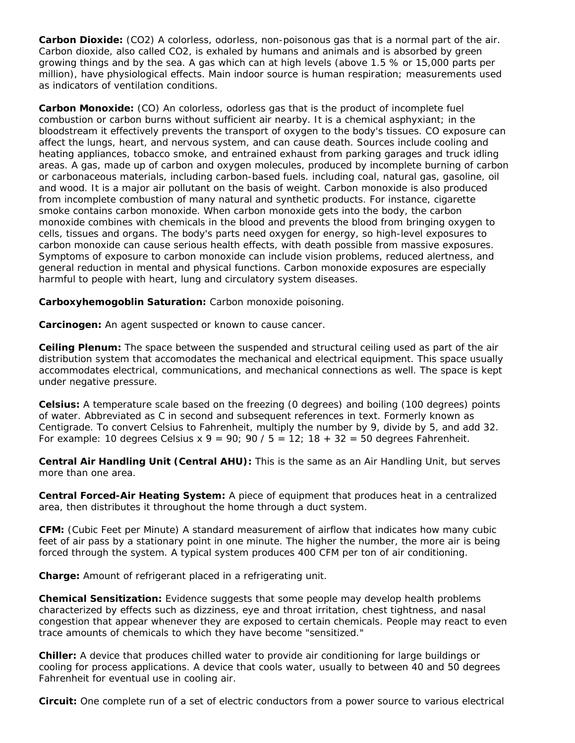**Carbon Dioxide:** (CO2) A colorless, odorless, non-poisonous gas that is a normal part of the air. Carbon dioxide, also called CO2, is exhaled by humans and animals and is absorbed by green growing things and by the sea. A gas which can at high levels (above 1.5 % or 15,000 parts per million), have physiological effects. Main indoor source is human respiration; measurements used as indicators of ventilation conditions.

**Carbon Monoxide:** (CO) An colorless, odorless gas that is the product of incomplete fuel combustion or carbon burns without sufficient air nearby. It is a chemical asphyxiant; in the bloodstream it effectively prevents the transport of oxygen to the body's tissues. CO exposure can affect the lungs, heart, and nervous system, and can cause death. Sources include cooling and heating appliances, tobacco smoke, and entrained exhaust from parking garages and truck idling areas. A gas, made up of carbon and oxygen molecules, produced by incomplete burning of carbon or carbonaceous materials, including carbon-based fuels. including coal, natural gas, gasoline, oil and wood. It is a major air pollutant on the basis of weight. Carbon monoxide is also produced from incomplete combustion of many natural and synthetic products. For instance, cigarette smoke contains carbon monoxide. When carbon monoxide gets into the body, the carbon monoxide combines with chemicals in the blood and prevents the blood from bringing oxygen to cells, tissues and organs. The body's parts need oxygen for energy, so high-level exposures to carbon monoxide can cause serious health effects, with death possible from massive exposures. Symptoms of exposure to carbon monoxide can include vision problems, reduced alertness, and general reduction in mental and physical functions. Carbon monoxide exposures are especially harmful to people with heart, lung and circulatory system diseases.

**Carboxyhemogoblin Saturation:** Carbon monoxide poisoning.

**Carcinogen:** An agent suspected or known to cause cancer.

**Ceiling Plenum:** The space between the suspended and structural ceiling used as part of the air distribution system that accomodates the mechanical and electrical equipment. This space usually accommodates electrical, communications, and mechanical connections as well. The space is kept under negative pressure.

**Celsius:** A temperature scale based on the freezing (0 degrees) and boiling (100 degrees) points of water. Abbreviated as C in second and subsequent references in text. Formerly known as Centigrade. To convert Celsius to Fahrenheit, multiply the number by 9, divide by 5, and add 32. For example: 10 degrees Celsius x 9 = 90; 90 / 5 = 12; 18 + 32 = 50 degrees Fahrenheit.

**Central Air Handling Unit (Central AHU):** This is the same as an Air Handling Unit, but serves more than one area.

**Central Forced-Air Heating System:** A piece of equipment that produces heat in a centralized area, then distributes it throughout the home through a duct system.

**CFM:** (Cubic Feet per Minute) A standard measurement of airflow that indicates how many cubic feet of air pass by a stationary point in one minute. The higher the number, the more air is being forced through the system. A typical system produces 400 CFM per ton of air conditioning.

**Charge:** Amount of refrigerant placed in a refrigerating unit.

**Chemical Sensitization:** Evidence suggests that some people may develop health problems characterized by effects such as dizziness, eye and throat irritation, chest tightness, and nasal congestion that appear whenever they are exposed to certain chemicals. People may react to even trace amounts of chemicals to which they have become "sensitized."

**Chiller:** A device that produces chilled water to provide air conditioning for large buildings or cooling for process applications. A device that cools water, usually to between 40 and 50 degrees Fahrenheit for eventual use in cooling air.

**Circuit:** One complete run of a set of electric conductors from a power source to various electrical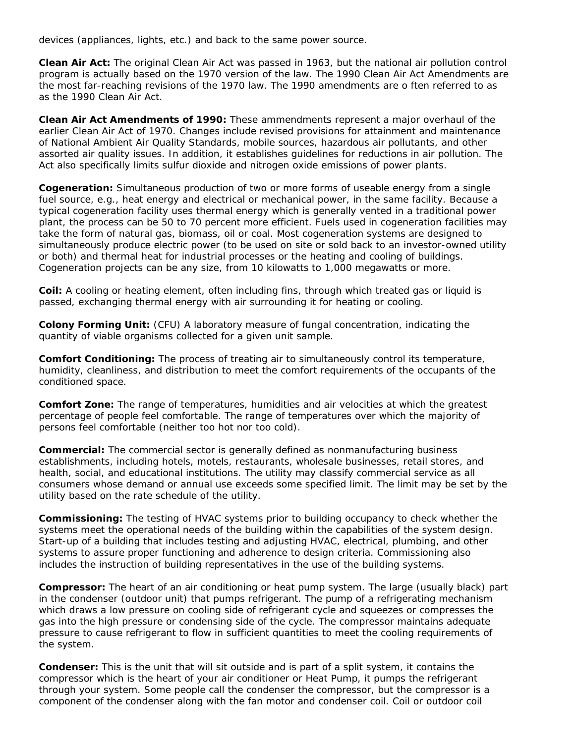devices (appliances, lights, etc.) and back to the same power source.

**Clean Air Act:** The original Clean Air Act was passed in 1963, but the national air pollution control program is actually based on the 1970 version of the law. The 1990 Clean Air Act Amendments are the most far-reaching revisions of the 1970 law. The 1990 amendments are o ften referred to as as the 1990 Clean Air Act.

**Clean Air Act Amendments of 1990:** These ammendments represent a major overhaul of the earlier Clean Air Act of 1970. Changes include revised provisions for attainment and maintenance of National Ambient Air Quality Standards, mobile sources, hazardous air pollutants, and other assorted air quality issues. In addition, it establishes guidelines for reductions in air pollution. The Act also specifically limits sulfur dioxide and nitrogen oxide emissions of power plants.

**Cogeneration:** Simultaneous production of two or more forms of useable energy from a single fuel source, e.g., heat energy and electrical or mechanical power, in the same facility. Because a typical cogeneration facility uses thermal energy which is generally vented in a traditional power plant, the process can be 50 to 70 percent more efficient. Fuels used in cogeneration facilities may take the form of natural gas, biomass, oil or coal. Most cogeneration systems are designed to simultaneously produce electric power (to be used on site or sold back to an investor-owned utility or both) and thermal heat for industrial processes or the heating and cooling of buildings. Cogeneration projects can be any size, from 10 kilowatts to 1,000 megawatts or more.

**Coil:** A cooling or heating element, often including fins, through which treated gas or liquid is passed, exchanging thermal energy with air surrounding it for heating or cooling.

**Colony Forming Unit:** (CFU) A laboratory measure of fungal concentration, indicating the quantity of viable organisms collected for a given unit sample.

**Comfort Conditioning:** The process of treating air to simultaneously control its temperature, humidity, cleanliness, and distribution to meet the comfort requirements of the occupants of the conditioned space.

**Comfort Zone:** The range of temperatures, humidities and air velocities at which the greatest percentage of people feel comfortable. The range of temperatures over which the majority of persons feel comfortable (neither too hot nor too cold).

**Commercial:** The commercial sector is generally defined as nonmanufacturing business establishments, including hotels, motels, restaurants, wholesale businesses, retail stores, and health, social, and educational institutions. The utility may classify commercial service as all consumers whose demand or annual use exceeds some specified limit. The limit may be set by the utility based on the rate schedule of the utility.

**Commissioning:** The testing of HVAC systems prior to building occupancy to check whether the systems meet the operational needs of the building within the capabilities of the system design. Start-up of a building that includes testing and adjusting HVAC, electrical, plumbing, and other systems to assure proper functioning and adherence to design criteria. Commissioning also includes the instruction of building representatives in the use of the building systems.

**Compressor:** The heart of an air conditioning or heat pump system. The large (usually black) part in the condenser (outdoor unit) that pumps refrigerant. The pump of a refrigerating mechanism which draws a low pressure on cooling side of refrigerant cycle and squeezes or compresses the gas into the high pressure or condensing side of the cycle. The compressor maintains adequate pressure to cause refrigerant to flow in sufficient quantities to meet the cooling requirements of the system.

**Condenser:** This is the unit that will sit outside and is part of a split system, it contains the compressor which is the heart of your air conditioner or Heat Pump, it pumps the refrigerant through your system. Some people call the condenser the compressor, but the compressor is a component of the condenser along with the fan motor and condenser coil. Coil or outdoor coil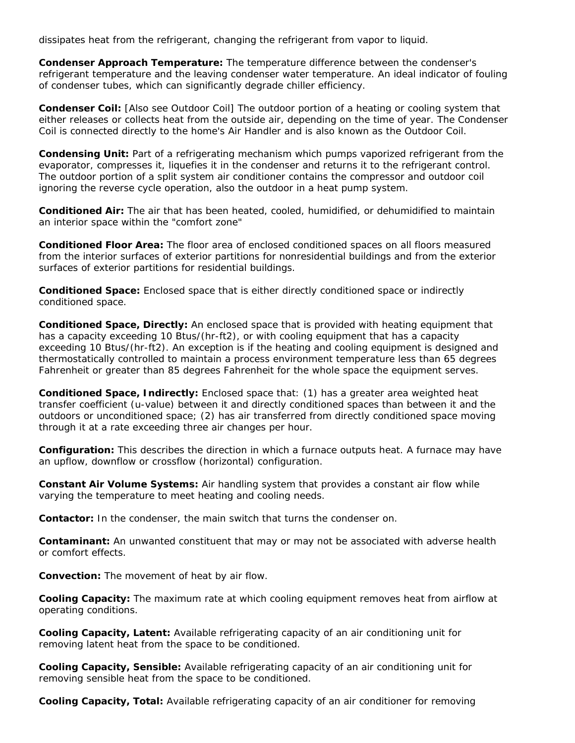dissipates heat from the refrigerant, changing the refrigerant from vapor to liquid.

**Condenser Approach Temperature:** The temperature difference between the condenser's refrigerant temperature and the leaving condenser water temperature. An ideal indicator of fouling of condenser tubes, which can significantly degrade chiller efficiency.

**Condenser Coil:** [Also see Outdoor Coil] The outdoor portion of a heating or cooling system that either releases or collects heat from the outside air, depending on the time of year. The Condenser Coil is connected directly to the home's Air Handler and is also known as the Outdoor Coil.

**Condensing Unit:** Part of a refrigerating mechanism which pumps vaporized refrigerant from the evaporator, compresses it, liquefies it in the condenser and returns it to the refrigerant control. The outdoor portion of a split system air conditioner contains the compressor and outdoor coil ignoring the reverse cycle operation, also the outdoor in a heat pump system.

**Conditioned Air:** The air that has been heated, cooled, humidified, or dehumidified to maintain an interior space within the "comfort zone"

**Conditioned Floor Area:** The floor area of enclosed conditioned spaces on all floors measured from the interior surfaces of exterior partitions for nonresidential buildings and from the exterior surfaces of exterior partitions for residential buildings.

**Conditioned Space:** Enclosed space that is either directly conditioned space or indirectly conditioned space.

**Conditioned Space, Directly:** An enclosed space that is provided with heating equipment that has a capacity exceeding 10 Btus/(hr-ft2), or with cooling equipment that has a capacity exceeding 10 Btus/(hr-ft2). An exception is if the heating and cooling equipment is designed and thermostatically controlled to maintain a process environment temperature less than 65 degrees Fahrenheit or greater than 85 degrees Fahrenheit for the whole space the equipment serves.

**Conditioned Space, Indirectly:** Enclosed space that: (1) has a greater area weighted heat transfer coefficient (u-value) between it and directly conditioned spaces than between it and the outdoors or unconditioned space; (2) has air transferred from directly conditioned space moving through it at a rate exceeding three air changes per hour.

**Configuration:** This describes the direction in which a furnace outputs heat. A furnace may have an upflow, downflow or crossflow (horizontal) configuration.

**Constant Air Volume Systems:** Air handling system that provides a constant air flow while varying the temperature to meet heating and cooling needs.

**Contactor:** In the condenser, the main switch that turns the condenser on.

**Contaminant:** An unwanted constituent that may or may not be associated with adverse health or comfort effects.

**Convection:** The movement of heat by air flow.

**Cooling Capacity:** The maximum rate at which cooling equipment removes heat from airflow at operating conditions.

**Cooling Capacity, Latent:** Available refrigerating capacity of an air conditioning unit for removing latent heat from the space to be conditioned.

**Cooling Capacity, Sensible:** Available refrigerating capacity of an air conditioning unit for removing sensible heat from the space to be conditioned.

**Cooling Capacity, Total:** Available refrigerating capacity of an air conditioner for removing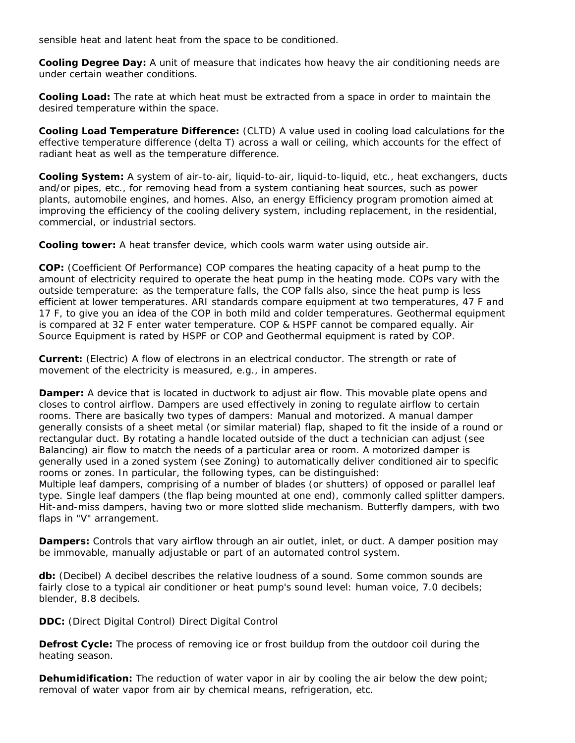sensible heat and latent heat from the space to be conditioned.

**Cooling Degree Day:** A unit of measure that indicates how heavy the air conditioning needs are under certain weather conditions.

**Cooling Load:** The rate at which heat must be extracted from a space in order to maintain the desired temperature within the space.

**Cooling Load Temperature Difference:** (CLTD) A value used in cooling load calculations for the effective temperature difference (delta T) across a wall or ceiling, which accounts for the effect of radiant heat as well as the temperature difference.

**Cooling System:** A system of air-to-air, liquid-to-air, liquid-to-liquid, etc., heat exchangers, ducts and/or pipes, etc., for removing head from a system contianing heat sources, such as power plants, automobile engines, and homes. Also, an energy Efficiency program promotion aimed at improving the efficiency of the cooling delivery system, including replacement, in the residential, commercial, or industrial sectors.

**Cooling tower:** A heat transfer device, which cools warm water using outside air.

**COP:** (Coefficient Of Performance) COP compares the heating capacity of a heat pump to the amount of electricity required to operate the heat pump in the heating mode. COPs vary with the outside temperature: as the temperature falls, the COP falls also, since the heat pump is less efficient at lower temperatures. ARI standards compare equipment at two temperatures, 47 F and 17 F, to give you an idea of the COP in both mild and colder temperatures. Geothermal equipment is compared at 32 F enter water temperature. COP & HSPF cannot be compared equally. Air Source Equipment is rated by HSPF or COP and Geothermal equipment is rated by COP.

**Current:** (Electric) A flow of electrons in an electrical conductor. The strength or rate of movement of the electricity is measured, e.g., in amperes.

**Damper:** A device that is located in ductwork to adjust air flow. This movable plate opens and closes to control airflow. Dampers are used effectively in zoning to regulate airflow to certain rooms. There are basically two types of dampers: Manual and motorized. A manual damper generally consists of a sheet metal (or similar material) flap, shaped to fit the inside of a round or rectangular duct. By rotating a handle located outside of the duct a technician can adjust (see Balancing) air flow to match the needs of a particular area or room. A motorized damper is generally used in a zoned system (see Zoning) to automatically deliver conditioned air to specific rooms or zones. In particular, the following types, can be distinguished:

Multiple leaf dampers, comprising of a number of blades (or shutters) of opposed or parallel leaf type. Single leaf dampers (the flap being mounted at one end), commonly called splitter dampers. Hit-and-miss dampers, having two or more slotted slide mechanism. Butterfly dampers, with two flaps in "V" arrangement.

**Dampers:** Controls that vary airflow through an air outlet, inlet, or duct. A damper position may be immovable, manually adjustable or part of an automated control system.

**db:** (Decibel) A decibel describes the relative loudness of a sound. Some common sounds are fairly close to a typical air conditioner or heat pump's sound level: human voice, 7.0 decibels; blender, 8.8 decibels.

**DDC:** (Direct Digital Control) Direct Digital Control

**Defrost Cycle:** The process of removing ice or frost buildup from the outdoor coil during the heating season.

**Dehumidification:** The reduction of water vapor in air by cooling the air below the dew point; removal of water vapor from air by chemical means, refrigeration, etc.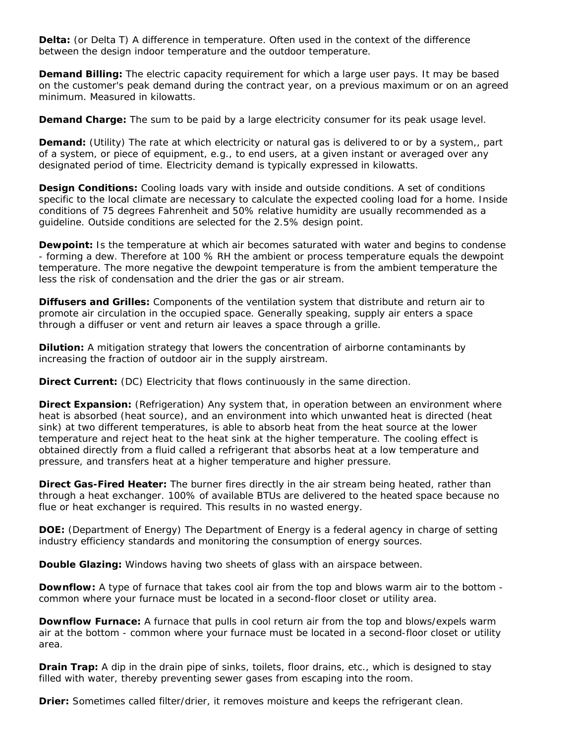**Delta:** (or Delta T) A difference in temperature. Often used in the context of the difference between the design indoor temperature and the outdoor temperature.

**Demand Billing:** The electric capacity requirement for which a large user pays. It may be based on the customer's peak demand during the contract year, on a previous maximum or on an agreed minimum. Measured in kilowatts.

**Demand Charge:** The sum to be paid by a large electricity consumer for its peak usage level.

**Demand:** (Utility) The rate at which electricity or natural gas is delivered to or by a system,, part of a system, or piece of equipment, e.g., to end users, at a given instant or averaged over any designated period of time. Electricity demand is typically expressed in kilowatts.

**Design Conditions:** Cooling loads vary with inside and outside conditions. A set of conditions specific to the local climate are necessary to calculate the expected cooling load for a home. Inside conditions of 75 degrees Fahrenheit and 50% relative humidity are usually recommended as a guideline. Outside conditions are selected for the 2.5% design point.

**Dewpoint:** Is the temperature at which air becomes saturated with water and begins to condense - forming a dew. Therefore at 100 % RH the ambient or process temperature equals the dewpoint temperature. The more negative the dewpoint temperature is from the ambient temperature the less the risk of condensation and the drier the gas or air stream.

**Diffusers and Grilles:** Components of the ventilation system that distribute and return air to promote air circulation in the occupied space. Generally speaking, supply air enters a space through a diffuser or vent and return air leaves a space through a grille.

**Dilution:** A mitigation strategy that lowers the concentration of airborne contaminants by increasing the fraction of outdoor air in the supply airstream.

**Direct Current:** (DC) Electricity that flows continuously in the same direction.

**Direct Expansion:** (Refrigeration) Any system that, in operation between an environment where heat is absorbed (heat source), and an environment into which unwanted heat is directed (heat sink) at two different temperatures, is able to absorb heat from the heat source at the lower temperature and reject heat to the heat sink at the higher temperature. The cooling effect is obtained directly from a fluid called a refrigerant that absorbs heat at a low temperature and pressure, and transfers heat at a higher temperature and higher pressure.

**Direct Gas-Fired Heater:** The burner fires directly in the air stream being heated, rather than through a heat exchanger. 100% of available BTUs are delivered to the heated space because no flue or heat exchanger is required. This results in no wasted energy.

**DOE:** (Department of Energy) The Department of Energy is a federal agency in charge of setting industry efficiency standards and monitoring the consumption of energy sources.

**Double Glazing:** Windows having two sheets of glass with an airspace between.

**Downflow:** A type of furnace that takes cool air from the top and blows warm air to the bottom common where your furnace must be located in a second-floor closet or utility area.

**Downflow Furnace:** A furnace that pulls in cool return air from the top and blows/expels warm air at the bottom - common where your furnace must be located in a second-floor closet or utility area.

**Drain Trap:** A dip in the drain pipe of sinks, toilets, floor drains, etc., which is designed to stay filled with water, thereby preventing sewer gases from escaping into the room.

**Drier:** Sometimes called filter/drier, it removes moisture and keeps the refrigerant clean.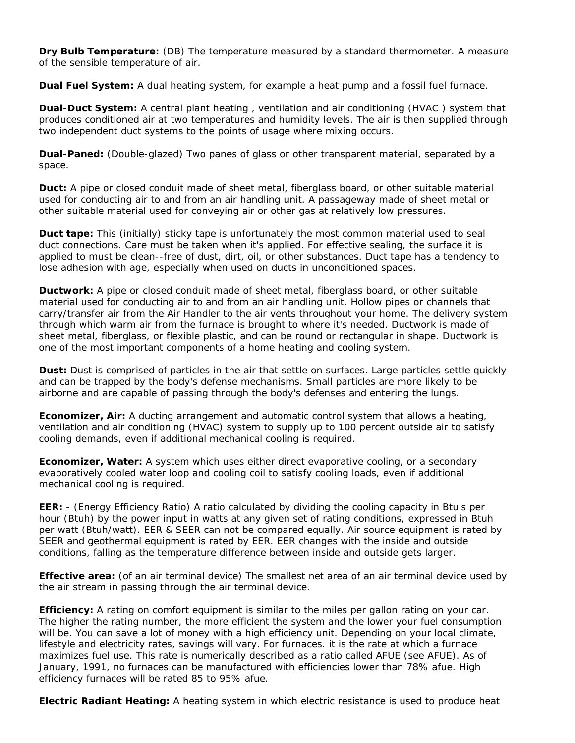**Dry Bulb Temperature:** (DB) The temperature measured by a standard thermometer. A measure of the sensible temperature of air.

**Dual Fuel System:** A dual heating system, for example a heat pump and a fossil fuel furnace.

**Dual-Duct System:** A central plant heating , ventilation and air conditioning (HVAC ) system that produces conditioned air at two temperatures and humidity levels. The air is then supplied through two independent duct systems to the points of usage where mixing occurs.

**Dual-Paned:** (Double-glazed) Two panes of glass or other transparent material, separated by a space.

**Duct:** A pipe or closed conduit made of sheet metal, fiberglass board, or other suitable material used for conducting air to and from an air handling unit. A passageway made of sheet metal or other suitable material used for conveying air or other gas at relatively low pressures.

**Duct tape:** This (initially) sticky tape is unfortunately the most common material used to seal duct connections. Care must be taken when it's applied. For effective sealing, the surface it is applied to must be clean--free of dust, dirt, oil, or other substances. Duct tape has a tendency to lose adhesion with age, especially when used on ducts in unconditioned spaces.

**Ductwork:** A pipe or closed conduit made of sheet metal, fiberglass board, or other suitable material used for conducting air to and from an air handling unit. Hollow pipes or channels that carry/transfer air from the Air Handler to the air vents throughout your home. The delivery system through which warm air from the furnace is brought to where it's needed. Ductwork is made of sheet metal, fiberglass, or flexible plastic, and can be round or rectangular in shape. Ductwork is one of the most important components of a home heating and cooling system.

**Dust:** Dust is comprised of particles in the air that settle on surfaces. Large particles settle quickly and can be trapped by the body's defense mechanisms. Small particles are more likely to be airborne and are capable of passing through the body's defenses and entering the lungs.

**Economizer, Air:** A ducting arrangement and automatic control system that allows a heating, ventilation and air conditioning (HVAC) system to supply up to 100 percent outside air to satisfy cooling demands, even if additional mechanical cooling is required.

**Economizer, Water:** A system which uses either direct evaporative cooling, or a secondary evaporatively cooled water loop and cooling coil to satisfy cooling loads, even if additional mechanical cooling is required.

**EER:** - (Energy Efficiency Ratio) A ratio calculated by dividing the cooling capacity in Btu's per hour (Btuh) by the power input in watts at any given set of rating conditions, expressed in Btuh per watt (Btuh/watt). EER & SEER can not be compared equally. Air source equipment is rated by SEER and geothermal equipment is rated by EER. EER changes with the inside and outside conditions, falling as the temperature difference between inside and outside gets larger.

**Effective area:** (of an air terminal device) The smallest net area of an air terminal device used by the air stream in passing through the air terminal device.

**Efficiency:** A rating on comfort equipment is similar to the miles per gallon rating on your car. The higher the rating number, the more efficient the system and the lower your fuel consumption will be. You can save a lot of money with a high efficiency unit. Depending on your local climate, lifestyle and electricity rates, savings will vary. For furnaces. it is the rate at which a furnace maximizes fuel use. This rate is numerically described as a ratio called AFUE (see AFUE). As of January, 1991, no furnaces can be manufactured with efficiencies lower than 78% afue. High efficiency furnaces will be rated 85 to 95% afue.

**Electric Radiant Heating:** A heating system in which electric resistance is used to produce heat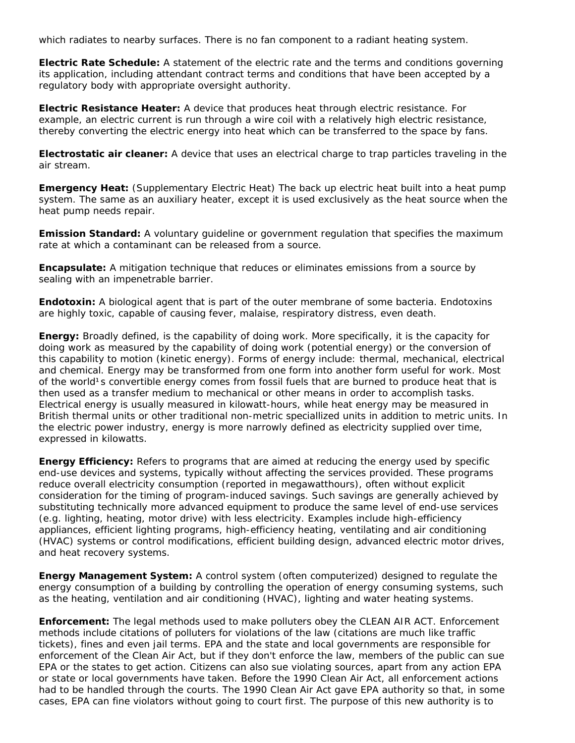which radiates to nearby surfaces. There is no fan component to a radiant heating system.

**Electric Rate Schedule:** A statement of the electric rate and the terms and conditions governing its application, including attendant contract terms and conditions that have been accepted by a regulatory body with appropriate oversight authority.

**Electric Resistance Heater:** A device that produces heat through electric resistance. For example, an electric current is run through a wire coil with a relatively high electric resistance, thereby converting the electric energy into heat which can be transferred to the space by fans.

**Electrostatic air cleaner:** A device that uses an electrical charge to trap particles traveling in the air stream.

**Emergency Heat:** (Supplementary Electric Heat) The back up electric heat built into a heat pump system. The same as an auxiliary heater, except it is used exclusively as the heat source when the heat pump needs repair.

**Emission Standard:** A voluntary guideline or government regulation that specifies the maximum rate at which a contaminant can be released from a source.

**Encapsulate:** A mitigation technique that reduces or eliminates emissions from a source by sealing with an impenetrable barrier.

**Endotoxin:** A biological agent that is part of the outer membrane of some bacteria. Endotoxins are highly toxic, capable of causing fever, malaise, respiratory distress, even death.

**Energy:** Broadly defined, is the capability of doing work. More specifically, it is the capacity for doing work as measured by the capability of doing work (potential energy) or the conversion of this capability to motion (kinetic energy). Forms of energy include: thermal, mechanical, electrical and chemical. Energy may be transformed from one form into another form useful for work. Most of the world<sup>1</sup>s convertible energy comes from fossil fuels that are burned to produce heat that is then used as a transfer medium to mechanical or other means in order to accomplish tasks. Electrical energy is usually measured in kilowatt-hours, while heat energy may be measured in British thermal units or other traditional non-metric speciallized units in addition to metric units. In the electric power industry, energy is more narrowly defined as electricity supplied over time, expressed in kilowatts.

**Energy Efficiency:** Refers to programs that are aimed at reducing the energy used by specific end-use devices and systems, typically without affecting the services provided. These programs reduce overall electricity consumption (reported in megawatthours), often without explicit consideration for the timing of program-induced savings. Such savings are generally achieved by substituting technically more advanced equipment to produce the same level of end-use services (e.g. lighting, heating, motor drive) with less electricity. Examples include high-efficiency appliances, efficient lighting programs, high-efficiency heating, ventilating and air conditioning (HVAC) systems or control modifications, efficient building design, advanced electric motor drives, and heat recovery systems.

**Energy Management System:** A control system (often computerized) designed to regulate the energy consumption of a building by controlling the operation of energy consuming systems, such as the heating, ventilation and air conditioning (HVAC), lighting and water heating systems.

**Enforcement:** The legal methods used to make polluters obey the CLEAN AIR ACT. Enforcement methods include citations of polluters for violations of the law (citations are much like traffic tickets), fines and even jail terms. EPA and the state and local governments are responsible for enforcement of the Clean Air Act, but if they don't enforce the law, members of the public can sue EPA or the states to get action. Citizens can also sue violating sources, apart from any action EPA or state or local governments have taken. Before the 1990 Clean Air Act, all enforcement actions had to be handled through the courts. The 1990 Clean Air Act gave EPA authority so that, in some cases, EPA can fine violators without going to court first. The purpose of this new authority is to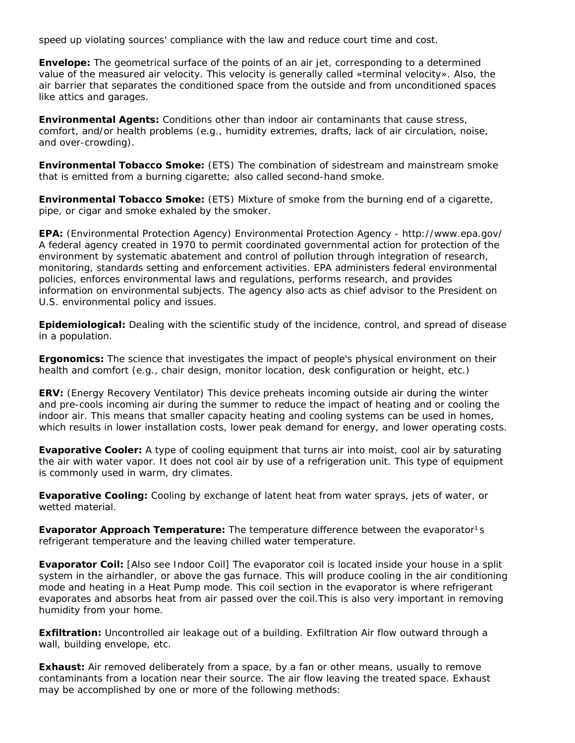speed up violating sources' compliance with the law and reduce court time and cost.

**Envelope:** The geometrical surface of the points of an air jet, corresponding to a determined value of the measured air velocity. This velocity is generally called «terminal velocity». Also, the air barrier that separates the conditioned space from the outside and from unconditioned spaces like attics and garages.

**Environmental Agents:** Conditions other than indoor air contaminants that cause stress, comfort, and/or health problems (e.g., humidity extremes, drafts, lack of air circulation, noise, and over-crowding).

**Environmental Tobacco Smoke:** (ETS) The combination of sidestream and mainstream smoke that is emitted from a burning cigarette; also called second-hand smoke.

**Environmental Tobacco Smoke:** (ETS) Mixture of smoke from the burning end of a cigarette, pipe, or cigar and smoke exhaled by the smoker.

**EPA:** (Environmental Protection Agency) Environmental Protection Agency - http://www.epa.gov/ A federal agency created in 1970 to permit coordinated governmental action for protection of the environment by systematic abatement and control of pollution through integration of research, monitoring, standards setting and enforcement activities. EPA administers federal environmental policies, enforces environmental laws and regulations, performs research, and provides information on environmental subjects. The agency also acts as chief advisor to the President on U.S. environmental policy and issues.

**Epidemiological:** Dealing with the scientific study of the incidence, control, and spread of disease in a population.

**Ergonomics:** The science that investigates the impact of people's physical environment on their health and comfort (e.g., chair design, monitor location, desk configuration or height, etc.)

**ERV:** (Energy Recovery Ventilator) This device preheats incoming outside air during the winter and pre-cools incoming air during the summer to reduce the impact of heating and or cooling the indoor air. This means that smaller capacity heating and cooling systems can be used in homes, which results in lower installation costs, lower peak demand for energy, and lower operating costs.

**Evaporative Cooler:** A type of cooling equipment that turns air into moist, cool air by saturating the air with water vapor. It does not cool air by use of a refrigeration unit. This type of equipment is commonly used in warm, dry climates.

**Evaporative Cooling:** Cooling by exchange of latent heat from water sprays, jets of water, or wetted material.

**Evaporator Approach Temperature:** The temperature difference between the evaporator<sup>1</sup>s refrigerant temperature and the leaving chilled water temperature.

**Evaporator Coil:** [Also see Indoor Coil] The evaporator coil is located inside your house in a split system in the airhandler, or above the gas furnace. This will produce cooling in the air conditioning mode and heating in a Heat Pump mode. This coil section in the evaporator is where refrigerant evaporates and absorbs heat from air passed over the coil.This is also very important in removing humidity from your home.

**Exfiltration:** Uncontrolled air leakage out of a building. Exfiltration Air flow outward through a wall, building envelope, etc.

**Exhaust:** Air removed deliberately from a space, by a fan or other means, usually to remove contaminants from a location near their source. The air flow leaving the treated space. Exhaust may be accomplished by one or more of the following methods: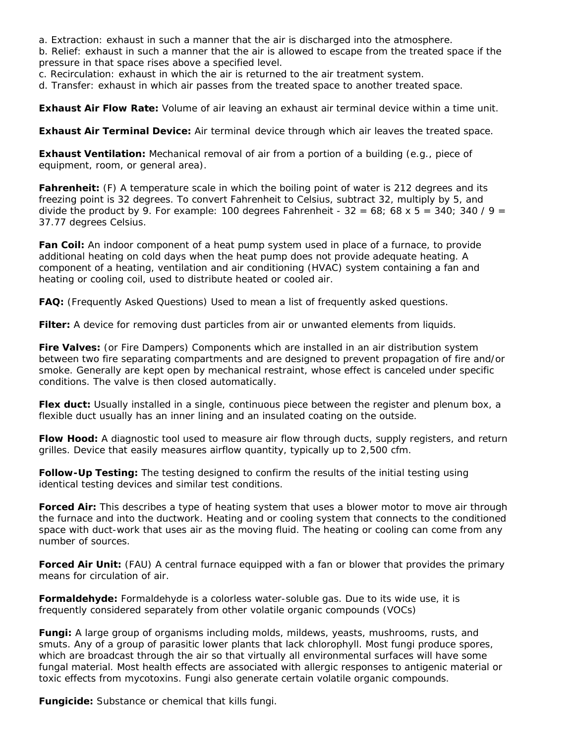a. Extraction: exhaust in such a manner that the air is discharged into the atmosphere.

b. Relief: exhaust in such a manner that the air is allowed to escape from the treated space if the pressure in that space rises above a specified level.

c. Recirculation: exhaust in which the air is returned to the air treatment system.

d. Transfer: exhaust in which air passes from the treated space to another treated space.

**Exhaust Air Flow Rate:** Volume of air leaving an exhaust air terminal device within a time unit.

**Exhaust Air Terminal Device:** Air terminaI device through which air leaves the treated space.

**Exhaust Ventilation:** Mechanical removal of air from a portion of a building (e.g., piece of equipment, room, or general area).

**Fahrenheit:** (F) A temperature scale in which the boiling point of water is 212 degrees and its freezing point is 32 degrees. To convert Fahrenheit to Celsius, subtract 32, multiply by 5, and divide the product by 9. For example: 100 degrees Fahrenheit -  $32 = 68$ ; 68 x 5 = 340; 340 / 9 = 37.77 degrees Celsius.

**Fan Coil:** An indoor component of a heat pump system used in place of a furnace, to provide additional heating on cold days when the heat pump does not provide adequate heating. A component of a heating, ventilation and air conditioning (HVAC) system containing a fan and heating or cooling coil, used to distribute heated or cooled air.

**FAQ:** (Frequently Asked Questions) Used to mean a list of frequently asked questions.

**Filter:** A device for removing dust particles from air or unwanted elements from liquids.

**Fire Valves:** (or Fire Dampers) Components which are installed in an air distribution system between two fire separating compartments and are designed to prevent propagation of fire and/or smoke. Generally are kept open by mechanical restraint, whose effect is canceled under specific conditions. The valve is then closed automatically.

**Flex duct:** Usually installed in a single, continuous piece between the register and plenum box, a flexible duct usually has an inner lining and an insulated coating on the outside.

**Flow Hood:** A diagnostic tool used to measure air flow through ducts, supply registers, and return grilles. Device that easily measures airflow quantity, typically up to 2,500 cfm.

**Follow-Up Testing:** The testing designed to confirm the results of the initial testing using identical testing devices and similar test conditions.

**Forced Air:** This describes a type of heating system that uses a blower motor to move air through the furnace and into the ductwork. Heating and or cooling system that connects to the conditioned space with duct-work that uses air as the moving fluid. The heating or cooling can come from any number of sources.

**Forced Air Unit:** (FAU) A central furnace equipped with a fan or blower that provides the primary means for circulation of air.

**Formaldehyde:** Formaldehyde is a colorless water-soluble gas. Due to its wide use, it is frequently considered separately from other volatile organic compounds (VOCs)

**Fungi:** A large group of organisms including molds, mildews, yeasts, mushrooms, rusts, and smuts. Any of a group of parasitic lower plants that lack chlorophyll. Most fungi produce spores, which are broadcast through the air so that virtually all environmental surfaces will have some fungal material. Most health effects are associated with allergic responses to antigenic material or toxic effects from mycotoxins. Fungi also generate certain volatile organic compounds.

**Fungicide:** Substance or chemical that kills fungi.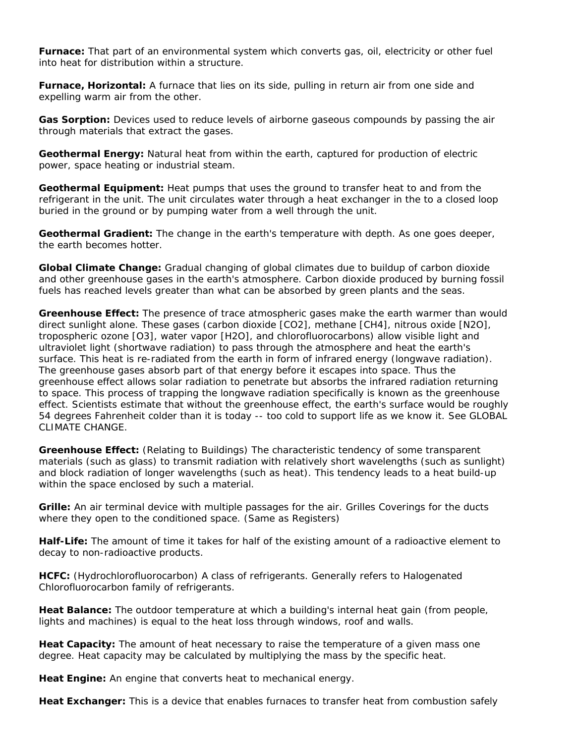**Furnace:** That part of an environmental system which converts gas, oil, electricity or other fuel into heat for distribution within a structure.

**Furnace, Horizontal:** A furnace that lies on its side, pulling in return air from one side and expelling warm air from the other.

**Gas Sorption:** Devices used to reduce levels of airborne gaseous compounds by passing the air through materials that extract the gases.

**Geothermal Energy:** Natural heat from within the earth, captured for production of electric power, space heating or industrial steam.

**Geothermal Equipment:** Heat pumps that uses the ground to transfer heat to and from the refrigerant in the unit. The unit circulates water through a heat exchanger in the to a closed loop buried in the ground or by pumping water from a well through the unit.

**Geothermal Gradient:** The change in the earth's temperature with depth. As one goes deeper, the earth becomes hotter.

**Global Climate Change:** Gradual changing of global climates due to buildup of carbon dioxide and other greenhouse gases in the earth's atmosphere. Carbon dioxide produced by burning fossil fuels has reached levels greater than what can be absorbed by green plants and the seas.

**Greenhouse Effect:** The presence of trace atmospheric gases make the earth warmer than would direct sunlight alone. These gases (carbon dioxide [CO2], methane [CH4], nitrous oxide [N2O], tropospheric ozone [O3], water vapor [H2O], and chlorofluorocarbons) allow visible light and ultraviolet light (shortwave radiation) to pass through the atmosphere and heat the earth's surface. This heat is re-radiated from the earth in form of infrared energy (longwave radiation). The greenhouse gases absorb part of that energy before it escapes into space. Thus the greenhouse effect allows solar radiation to penetrate but absorbs the infrared radiation returning to space. This process of trapping the longwave radiation specifically is known as the greenhouse effect. Scientists estimate that without the greenhouse effect, the earth's surface would be roughly 54 degrees Fahrenheit colder than it is today -- too cold to support life as we know it. See GLOBAL CLIMATE CHANGE.

**Greenhouse Effect:** (Relating to Buildings) The characteristic tendency of some transparent materials (such as glass) to transmit radiation with relatively short wavelengths (such as sunlight) and block radiation of longer wavelengths (such as heat). This tendency leads to a heat build-up within the space enclosed by such a material.

**Grille:** An air terminal device with multiple passages for the air. Grilles Coverings for the ducts where they open to the conditioned space. (Same as Registers)

**Half-Life:** The amount of time it takes for half of the existing amount of a radioactive element to decay to non-radioactive products.

**HCFC:** (Hydrochlorofluorocarbon) A class of refrigerants. Generally refers to Halogenated Chlorofluorocarbon family of refrigerants.

**Heat Balance:** The outdoor temperature at which a building's internal heat gain (from people, lights and machines) is equal to the heat loss through windows, roof and walls.

**Heat Capacity:** The amount of heat necessary to raise the temperature of a given mass one degree. Heat capacity may be calculated by multiplying the mass by the specific heat.

**Heat Engine:** An engine that converts heat to mechanical energy.

**Heat Exchanger:** This is a device that enables furnaces to transfer heat from combustion safely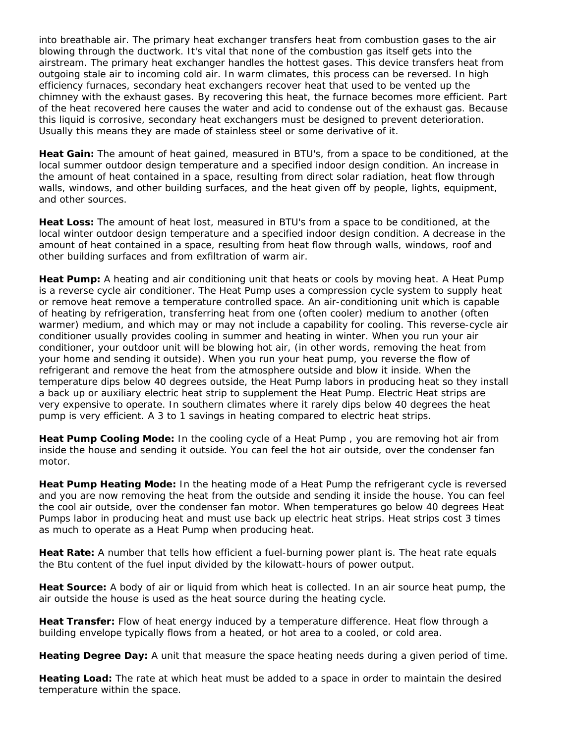into breathable air. The primary heat exchanger transfers heat from combustion gases to the air blowing through the ductwork. It's vital that none of the combustion gas itself gets into the airstream. The primary heat exchanger handles the hottest gases. This device transfers heat from outgoing stale air to incoming cold air. In warm climates, this process can be reversed. In high efficiency furnaces, secondary heat exchangers recover heat that used to be vented up the chimney with the exhaust gases. By recovering this heat, the furnace becomes more efficient. Part of the heat recovered here causes the water and acid to condense out of the exhaust gas. Because this liquid is corrosive, secondary heat exchangers must be designed to prevent deterioration. Usually this means they are made of stainless steel or some derivative of it.

**Heat Gain:** The amount of heat gained, measured in BTU's, from a space to be conditioned, at the local summer outdoor design temperature and a specified indoor design condition. An increase in the amount of heat contained in a space, resulting from direct solar radiation, heat flow through walls, windows, and other building surfaces, and the heat given off by people, lights, equipment, and other sources.

**Heat Loss:** The amount of heat lost, measured in BTU's from a space to be conditioned, at the local winter outdoor design temperature and a specified indoor design condition. A decrease in the amount of heat contained in a space, resulting from heat flow through walls, windows, roof and other building surfaces and from exfiltration of warm air.

**Heat Pump:** A heating and air conditioning unit that heats or cools by moving heat. A Heat Pump is a reverse cycle air conditioner. The Heat Pump uses a compression cycle system to supply heat or remove heat remove a temperature controlled space. An air-conditioning unit which is capable of heating by refrigeration, transferring heat from one (often cooler) medium to another (often warmer) medium, and which may or may not include a capability for cooling. This reverse-cycle air conditioner usually provides cooling in summer and heating in winter. When you run your air conditioner, your outdoor unit will be blowing hot air, (in other words, removing the heat from your home and sending it outside). When you run your heat pump, you reverse the flow of refrigerant and remove the heat from the atmosphere outside and blow it inside. When the temperature dips below 40 degrees outside, the Heat Pump labors in producing heat so they install a back up or auxiliary electric heat strip to supplement the Heat Pump. Electric Heat strips are very expensive to operate. In southern climates where it rarely dips below 40 degrees the heat pump is very efficient. A 3 to 1 savings in heating compared to electric heat strips.

**Heat Pump Cooling Mode:** In the cooling cycle of a Heat Pump , you are removing hot air from inside the house and sending it outside. You can feel the hot air outside, over the condenser fan motor.

**Heat Pump Heating Mode:** In the heating mode of a Heat Pump the refrigerant cycle is reversed and you are now removing the heat from the outside and sending it inside the house. You can feel the cool air outside, over the condenser fan motor. When temperatures go below 40 degrees Heat Pumps labor in producing heat and must use back up electric heat strips. Heat strips cost 3 times as much to operate as a Heat Pump when producing heat.

**Heat Rate:** A number that tells how efficient a fuel-burning power plant is. The heat rate equals the Btu content of the fuel input divided by the kilowatt-hours of power output.

**Heat Source:** A body of air or liquid from which heat is collected. In an air source heat pump, the air outside the house is used as the heat source during the heating cycle.

**Heat Transfer:** Flow of heat energy induced by a temperature difference. Heat flow through a building envelope typically flows from a heated, or hot area to a cooled, or cold area.

**Heating Degree Day:** A unit that measure the space heating needs during a given period of time.

**Heating Load:** The rate at which heat must be added to a space in order to maintain the desired temperature within the space.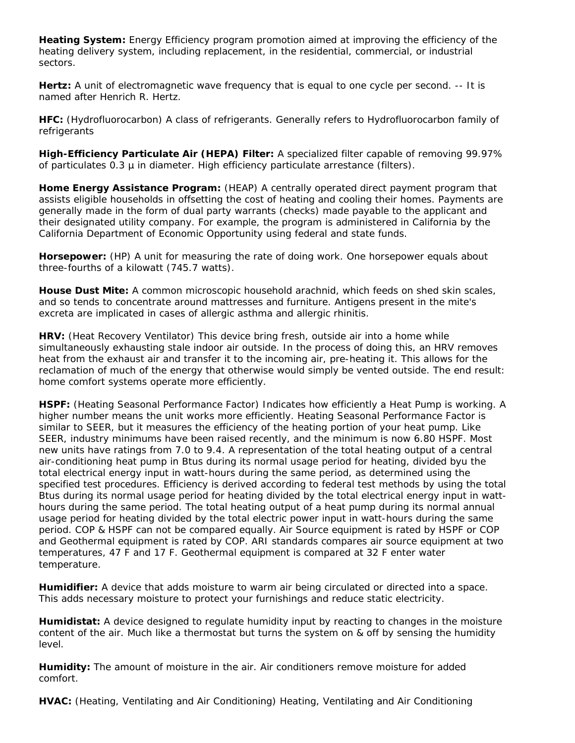**Heating System:** Energy Efficiency program promotion aimed at improving the efficiency of the heating delivery system, including replacement, in the residential, commercial, or industrial sectors.

**Hertz:** A unit of electromagnetic wave frequency that is equal to one cycle per second. -- It is named after Henrich R. Hertz.

**HFC:** (Hydrofluorocarbon) A class of refrigerants. Generally refers to Hydrofluorocarbon family of refrigerants

**High-Efficiency Particulate Air (HEPA) Filter:** A specialized filter capable of removing 99.97% of particulates 0.3 µ in diameter. High efficiency particulate arrestance (filters).

**Home Energy Assistance Program:** (HEAP) A centrally operated direct payment program that assists eligible households in offsetting the cost of heating and cooling their homes. Payments are generally made in the form of dual party warrants (checks) made payable to the applicant and their designated utility company. For example, the program is administered in California by the California Department of Economic Opportunity using federal and state funds.

**Horsepower:** (HP) A unit for measuring the rate of doing work. One horsepower equals about three-fourths of a kilowatt (745.7 watts).

**House Dust Mite:** A common microscopic household arachnid, which feeds on shed skin scales, and so tends to concentrate around mattresses and furniture. Antigens present in the mite's excreta are implicated in cases of allergic asthma and allergic rhinitis.

**HRV:** (Heat Recovery Ventilator) This device bring fresh, outside air into a home while simultaneously exhausting stale indoor air outside. In the process of doing this, an HRV removes heat from the exhaust air and transfer it to the incoming air, pre-heating it. This allows for the reclamation of much of the energy that otherwise would simply be vented outside. The end result: home comfort systems operate more efficiently.

**HSPF:** (Heating Seasonal Performance Factor) Indicates how efficiently a Heat Pump is working. A higher number means the unit works more efficiently. Heating Seasonal Performance Factor is similar to SEER, but it measures the efficiency of the heating portion of your heat pump. Like SEER, industry minimums have been raised recently, and the minimum is now 6.80 HSPF. Most new units have ratings from 7.0 to 9.4. A representation of the total heating output of a central air-conditioning heat pump in Btus during its normal usage period for heating, divided byu the total electrical energy input in watt-hours during the same period, as determined using the specified test procedures. Efficiency is derived according to federal test methods by using the total Btus during its normal usage period for heating divided by the total electrical energy input in watthours during the same period. The total heating output of a heat pump during its normal annual usage period for heating divided by the total electric power input in watt-hours during the same period. COP & HSPF can not be compared equally. Air Source equipment is rated by HSPF or COP and Geothermal equipment is rated by COP. ARI standards compares air source equipment at two temperatures, 47 F and 17 F. Geothermal equipment is compared at 32 F enter water temperature.

**Humidifier:** A device that adds moisture to warm air being circulated or directed into a space. This adds necessary moisture to protect your furnishings and reduce static electricity.

**Humidistat:** A device designed to regulate humidity input by reacting to changes in the moisture content of the air. Much like a thermostat but turns the system on & off by sensing the humidity level.

**Humidity:** The amount of moisture in the air. Air conditioners remove moisture for added comfort.

**HVAC:** (Heating, Ventilating and Air Conditioning) Heating, Ventilating and Air Conditioning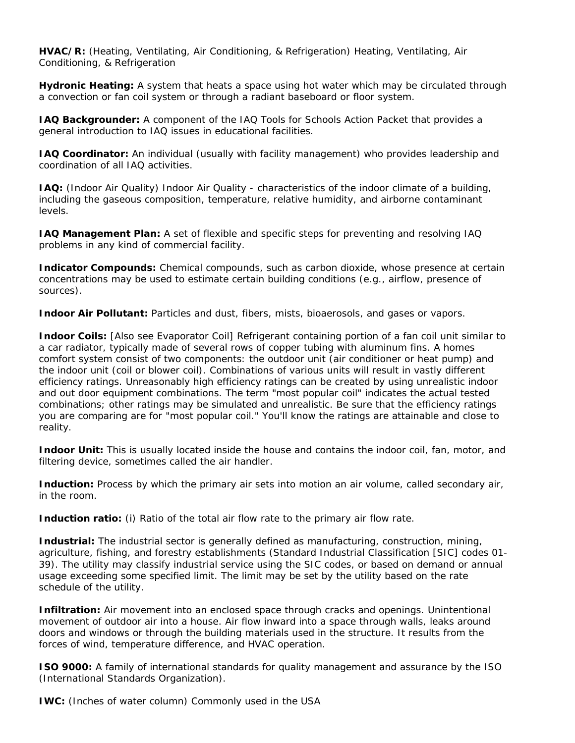**HVAC/R:** (Heating, Ventilating, Air Conditioning, & Refrigeration) Heating, Ventilating, Air Conditioning, & Refrigeration

**Hydronic Heating:** A system that heats a space using hot water which may be circulated through a convection or fan coil system or through a radiant baseboard or floor system.

**IAQ Backgrounder:** A component of the IAQ Tools for Schools Action Packet that provides a general introduction to IAQ issues in educational facilities.

**IAQ Coordinator:** An individual (usually with facility management) who provides leadership and coordination of all IAQ activities.

**IAQ:** (Indoor Air Quality) Indoor Air Quality - characteristics of the indoor climate of a building, including the gaseous composition, temperature, relative humidity, and airborne contaminant levels.

**IAQ Management Plan:** A set of flexible and specific steps for preventing and resolving IAQ problems in any kind of commercial facility.

**Indicator Compounds:** Chemical compounds, such as carbon dioxide, whose presence at certain concentrations may be used to estimate certain building conditions (e.g., airflow, presence of sources).

**Indoor Air Pollutant:** Particles and dust, fibers, mists, bioaerosols, and gases or vapors.

**Indoor Coils:** [Also see Evaporator Coil] Refrigerant containing portion of a fan coil unit similar to a car radiator, typically made of several rows of copper tubing with aluminum fins. A homes comfort system consist of two components: the outdoor unit (air conditioner or heat pump) and the indoor unit (coil or blower coil). Combinations of various units will result in vastly different efficiency ratings. Unreasonably high efficiency ratings can be created by using unrealistic indoor and out door equipment combinations. The term "most popular coil" indicates the actual tested combinations; other ratings may be simulated and unrealistic. Be sure that the efficiency ratings you are comparing are for "most popular coil." You'll know the ratings are attainable and close to reality.

**Indoor Unit:** This is usually located inside the house and contains the indoor coil, fan, motor, and filtering device, sometimes called the air handler.

**Induction:** Process by which the primary air sets into motion an air volume, called secondary air, in the room.

**Induction ratio:** (i) Ratio of the total air flow rate to the primary air flow rate.

**Industrial:** The industrial sector is generally defined as manufacturing, construction, mining, agriculture, fishing, and forestry establishments (Standard Industrial Classification [SIC] codes 01- 39). The utility may classify industrial service using the SIC codes, or based on demand or annual usage exceeding some specified limit. The limit may be set by the utility based on the rate schedule of the utility.

**Infiltration:** Air movement into an enclosed space through cracks and openings. Unintentional movement of outdoor air into a house. Air flow inward into a space through walls, leaks around doors and windows or through the building materials used in the structure. It results from the forces of wind, temperature difference, and HVAC operation.

**ISO 9000:** A family of international standards for quality management and assurance by the ISO (International Standards Organization).

**IWC:** (Inches of water column) Commonly used in the USA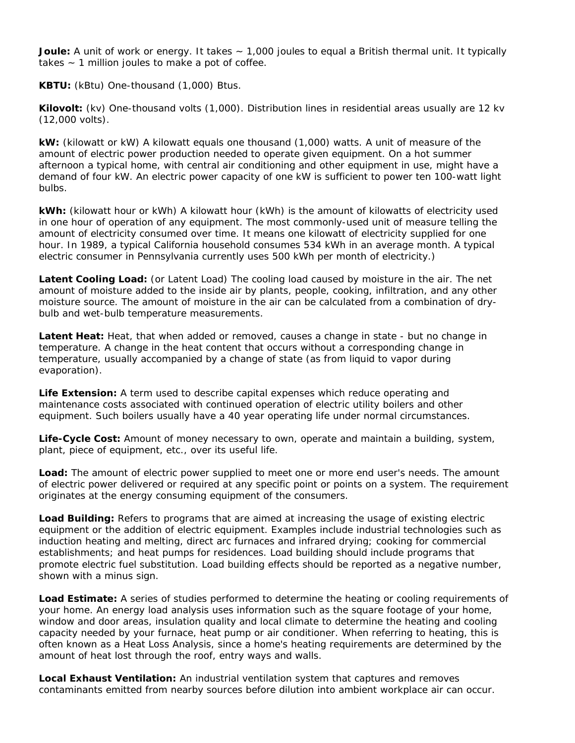**Joule:** A unit of work or energy. It takes ~ 1,000 joules to equal a British thermal unit. It typically takes  $\sim$  1 million joules to make a pot of coffee.

**KBTU:** (kBtu) One-thousand (1,000) Btus.

**Kilovolt:** (kv) One-thousand volts (1,000). Distribution lines in residential areas usually are 12 kv (12,000 volts).

**kW:** (kilowatt or kW) A kilowatt equals one thousand (1,000) watts. A unit of measure of the amount of electric power production needed to operate given equipment. On a hot summer afternoon a typical home, with central air conditioning and other equipment in use, might have a demand of four kW. An electric power capacity of one kW is sufficient to power ten 100-watt light bulbs.

**kWh:** (kilowatt hour or kWh) A kilowatt hour (kWh) is the amount of kilowatts of electricity used in one hour of operation of any equipment. The most commonly-used unit of measure telling the amount of electricity consumed over time. It means one kilowatt of electricity supplied for one hour. In 1989, a typical California household consumes 534 kWh in an average month. A typical electric consumer in Pennsylvania currently uses 500 kWh per month of electricity.)

**Latent Cooling Load:** (or Latent Load) The cooling load caused by moisture in the air. The net amount of moisture added to the inside air by plants, people, cooking, infiltration, and any other moisture source. The amount of moisture in the air can be calculated from a combination of drybulb and wet-bulb temperature measurements.

**Latent Heat:** Heat, that when added or removed, causes a change in state - but no change in temperature. A change in the heat content that occurs without a corresponding change in temperature, usually accompanied by a change of state (as from liquid to vapor during evaporation).

**Life Extension:** A term used to describe capital expenses which reduce operating and maintenance costs associated with continued operation of electric utility boilers and other equipment. Such boilers usually have a 40 year operating life under normal circumstances.

**Life-Cycle Cost:** Amount of money necessary to own, operate and maintain a building, system, plant, piece of equipment, etc., over its useful life.

**Load:** The amount of electric power supplied to meet one or more end user's needs. The amount of electric power delivered or required at any specific point or points on a system. The requirement originates at the energy consuming equipment of the consumers.

**Load Building:** Refers to programs that are aimed at increasing the usage of existing electric equipment or the addition of electric equipment. Examples include industrial technologies such as induction heating and melting, direct arc furnaces and infrared drying; cooking for commercial establishments; and heat pumps for residences. Load building should include programs that promote electric fuel substitution. Load building effects should be reported as a negative number, shown with a minus sign.

**Load Estimate:** A series of studies performed to determine the heating or cooling requirements of your home. An energy load analysis uses information such as the square footage of your home, window and door areas, insulation quality and local climate to determine the heating and cooling capacity needed by your furnace, heat pump or air conditioner. When referring to heating, this is often known as a Heat Loss Analysis, since a home's heating requirements are determined by the amount of heat lost through the roof, entry ways and walls.

**Local Exhaust Ventilation:** An industrial ventilation system that captures and removes contaminants emitted from nearby sources before dilution into ambient workplace air can occur.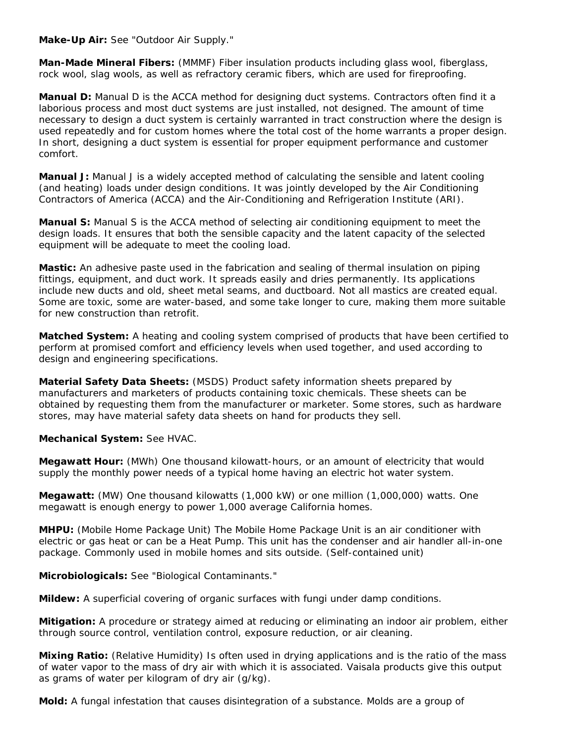## **Make-Up Air:** See "Outdoor Air Supply."

**Man-Made Mineral Fibers:** (MMMF) Fiber insulation products including glass wool, fiberglass, rock wool, slag wools, as well as refractory ceramic fibers, which are used for fireproofing.

**Manual D:** Manual D is the ACCA method for designing duct systems. Contractors often find it a laborious process and most duct systems are just installed, not designed. The amount of time necessary to design a duct system is certainly warranted in tract construction where the design is used repeatedly and for custom homes where the total cost of the home warrants a proper design. In short, designing a duct system is essential for proper equipment performance and customer comfort.

**Manual J:** Manual J is a widely accepted method of calculating the sensible and latent cooling (and heating) loads under design conditions. It was jointly developed by the Air Conditioning Contractors of America (ACCA) and the Air-Conditioning and Refrigeration Institute (ARI).

**Manual S:** Manual S is the ACCA method of selecting air conditioning equipment to meet the design loads. It ensures that both the sensible capacity and the latent capacity of the selected equipment will be adequate to meet the cooling load.

**Mastic:** An adhesive paste used in the fabrication and sealing of thermal insulation on piping fittings, equipment, and duct work. It spreads easily and dries permanently. Its applications include new ducts and old, sheet metal seams, and ductboard. Not all mastics are created equal. Some are toxic, some are water-based, and some take longer to cure, making them more suitable for new construction than retrofit.

**Matched System:** A heating and cooling system comprised of products that have been certified to perform at promised comfort and efficiency levels when used together, and used according to design and engineering specifications.

**Material Safety Data Sheets:** (MSDS) Product safety information sheets prepared by manufacturers and marketers of products containing toxic chemicals. These sheets can be obtained by requesting them from the manufacturer or marketer. Some stores, such as hardware stores, may have material safety data sheets on hand for products they sell.

**Mechanical System:** See HVAC.

**Megawatt Hour:** (MWh) One thousand kilowatt-hours, or an amount of electricity that would supply the monthly power needs of a typical home having an electric hot water system.

**Megawatt:** (MW) One thousand kilowatts (1,000 kW) or one million (1,000,000) watts. One megawatt is enough energy to power 1,000 average California homes.

**MHPU:** (Mobile Home Package Unit) The Mobile Home Package Unit is an air conditioner with electric or gas heat or can be a Heat Pump. This unit has the condenser and air handler all-in-one package. Commonly used in mobile homes and sits outside. (Self-contained unit)

**Microbiologicals:** See "Biological Contaminants."

**Mildew:** A superficial covering of organic surfaces with fungi under damp conditions.

**Mitigation:** A procedure or strategy aimed at reducing or eliminating an indoor air problem, either through source control, ventilation control, exposure reduction, or air cleaning.

**Mixing Ratio:** (Relative Humidity) Is often used in drying applications and is the ratio of the mass of water vapor to the mass of dry air with which it is associated. Vaisala products give this output as grams of water per kilogram of dry air (g/kg).

**Mold:** A fungal infestation that causes disintegration of a substance. Molds are a group of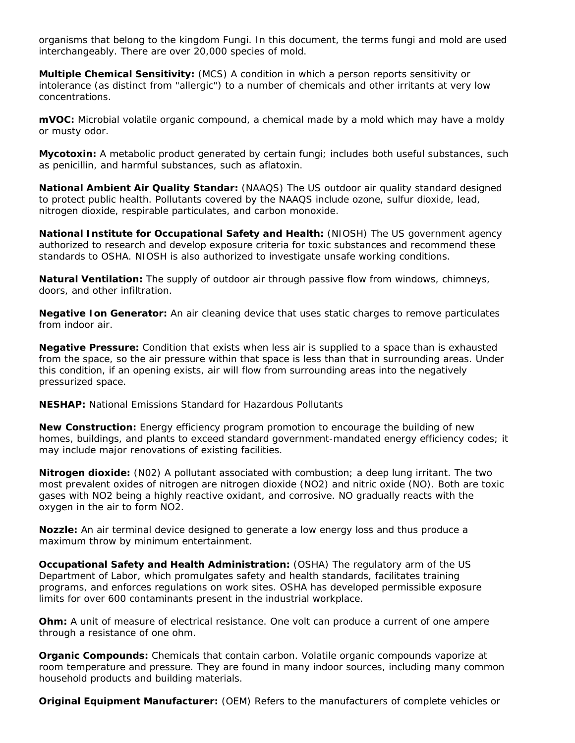organisms that belong to the kingdom Fungi. In this document, the terms fungi and mold are used interchangeably. There are over 20,000 species of mold.

**Multiple Chemical Sensitivity:** (MCS) A condition in which a person reports sensitivity or intolerance (as distinct from "allergic") to a number of chemicals and other irritants at very low concentrations.

**mVOC:** Microbial volatile organic compound, a chemical made by a mold which may have a moldy or musty odor.

**Mycotoxin:** A metabolic product generated by certain fungi; includes both useful substances, such as penicillin, and harmful substances, such as aflatoxin.

**National Ambient Air Quality Standar:** (NAAQS) The US outdoor air quality standard designed to protect public health. Pollutants covered by the NAAQS include ozone, sulfur dioxide, lead, nitrogen dioxide, respirable particulates, and carbon monoxide.

**National Institute for Occupational Safety and Health:** (NIOSH) The US government agency authorized to research and develop exposure criteria for toxic substances and recommend these standards to OSHA. NIOSH is also authorized to investigate unsafe working conditions.

**Natural Ventilation:** The supply of outdoor air through passive flow from windows, chimneys, doors, and other infiltration.

**Negative Ion Generator:** An air cleaning device that uses static charges to remove particulates from indoor air.

**Negative Pressure:** Condition that exists when less air is supplied to a space than is exhausted from the space, so the air pressure within that space is less than that in surrounding areas. Under this condition, if an opening exists, air will flow from surrounding areas into the negatively pressurized space.

**NESHAP:** National Emissions Standard for Hazardous Pollutants

**New Construction:** Energy efficiency program promotion to encourage the building of new homes, buildings, and plants to exceed standard government-mandated energy efficiency codes; it may include major renovations of existing facilities.

**Nitrogen dioxide:** (N02) A pollutant associated with combustion; a deep lung irritant. The two most prevalent oxides of nitrogen are nitrogen dioxide (NO2) and nitric oxide (NO). Both are toxic gases with NO2 being a highly reactive oxidant, and corrosive. NO gradually reacts with the oxygen in the air to form NO2.

**Nozzle:** An air terminal device designed to generate a low energy loss and thus produce a maximum throw by minimum entertainment.

**Occupational Safety and Health Administration:** (OSHA) The regulatory arm of the US Department of Labor, which promulgates safety and health standards, facilitates training programs, and enforces regulations on work sites. OSHA has developed permissible exposure limits for over 600 contaminants present in the industrial workplace.

**Ohm:** A unit of measure of electrical resistance. One volt can produce a current of one ampere through a resistance of one ohm.

**Organic Compounds:** Chemicals that contain carbon. Volatile organic compounds vaporize at room temperature and pressure. They are found in many indoor sources, including many common household products and building materials.

**Original Equipment Manufacturer:** (OEM) Refers to the manufacturers of complete vehicles or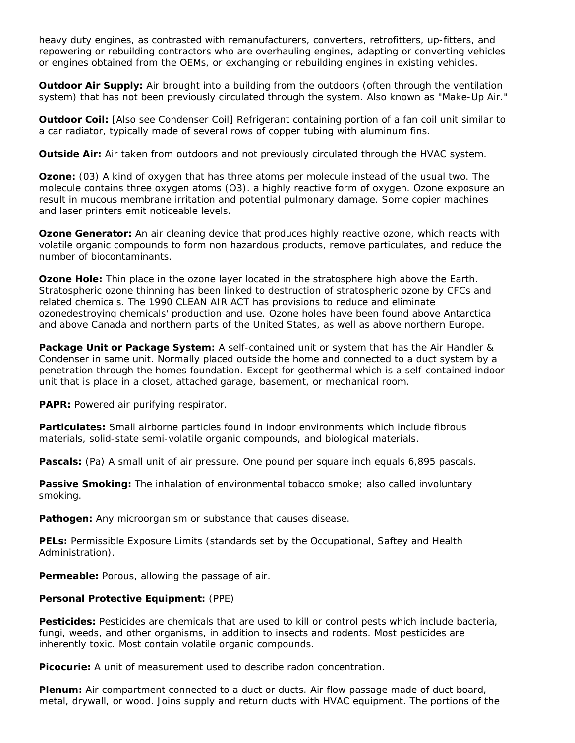heavy duty engines, as contrasted with remanufacturers, converters, retrofitters, up-fitters, and repowering or rebuilding contractors who are overhauling engines, adapting or converting vehicles or engines obtained from the OEMs, or exchanging or rebuilding engines in existing vehicles.

**Outdoor Air Supply:** Air brought into a building from the outdoors (often through the ventilation system) that has not been previously circulated through the system. Also known as "Make-Up Air."

**Outdoor Coil:** [Also see Condenser Coil] Refrigerant containing portion of a fan coil unit similar to a car radiator, typically made of several rows of copper tubing with aluminum fins.

**Outside Air:** Air taken from outdoors and not previously circulated through the HVAC system.

**Ozone:** (03) A kind of oxygen that has three atoms per molecule instead of the usual two. The molecule contains three oxygen atoms (O3). a highly reactive form of oxygen. Ozone exposure an result in mucous membrane irritation and potential pulmonary damage. Some copier machines and laser printers emit noticeable levels.

**Ozone Generator:** An air cleaning device that produces highly reactive ozone, which reacts with volatile organic compounds to form non hazardous products, remove particulates, and reduce the number of biocontaminants.

**Ozone Hole:** Thin place in the ozone layer located in the stratosphere high above the Earth. Stratospheric ozone thinning has been linked to destruction of stratospheric ozone by CFCs and related chemicals. The 1990 CLEAN AIR ACT has provisions to reduce and eliminate ozonedestroying chemicals' production and use. Ozone holes have been found above Antarctica and above Canada and northern parts of the United States, as well as above northern Europe.

**Package Unit or Package System:** A self-contained unit or system that has the Air Handler & Condenser in same unit. Normally placed outside the home and connected to a duct system by a penetration through the homes foundation. Except for geothermal which is a self-contained indoor unit that is place in a closet, attached garage, basement, or mechanical room.

**PAPR:** Powered air purifying respirator.

**Particulates:** Small airborne particles found in indoor environments which include fibrous materials, solid-state semi-volatile organic compounds, and biological materials.

**Pascals:** (Pa) A small unit of air pressure. One pound per square inch equals 6,895 pascals.

**Passive Smoking:** The inhalation of environmental tobacco smoke; also called involuntary smoking.

**Pathogen:** Any microorganism or substance that causes disease.

**PELs:** Permissible Exposure Limits (standards set by the Occupational, Saftey and Health Administration).

**Permeable:** Porous, allowing the passage of air.

## **Personal Protective Equipment:** (PPE)

**Pesticides:** Pesticides are chemicals that are used to kill or control pests which include bacteria, fungi, weeds, and other organisms, in addition to insects and rodents. Most pesticides are inherently toxic. Most contain volatile organic compounds.

**Picocurie:** A unit of measurement used to describe radon concentration.

**Plenum:** Air compartment connected to a duct or ducts. Air flow passage made of duct board, metal, drywall, or wood. Joins supply and return ducts with HVAC equipment. The portions of the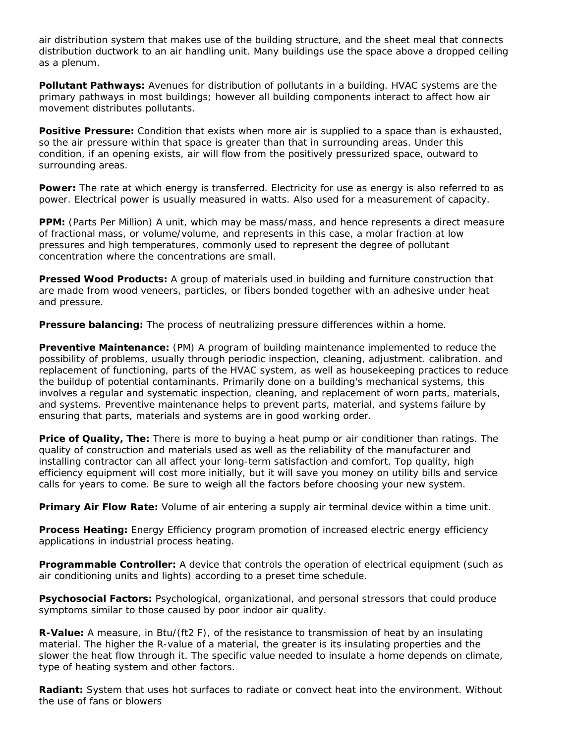air distribution system that makes use of the building structure, and the sheet meal that connects distribution ductwork to an air handling unit. Many buildings use the space above a dropped ceiling as a plenum.

**Pollutant Pathways:** Avenues for distribution of pollutants in a building. HVAC systems are the primary pathways in most buildings; however all building components interact to affect how air movement distributes pollutants.

**Positive Pressure:** Condition that exists when more air is supplied to a space than is exhausted, so the air pressure within that space is greater than that in surrounding areas. Under this condition, if an opening exists, air will flow from the positively pressurized space, outward to surrounding areas.

**Power:** The rate at which energy is transferred. Electricity for use as energy is also referred to as power. Electrical power is usually measured in watts. Also used for a measurement of capacity.

**PPM:** (Parts Per Million) A unit, which may be mass/mass, and hence represents a direct measure of fractional mass, or volume/volume, and represents in this case, a molar fraction at low pressures and high temperatures, commonly used to represent the degree of pollutant concentration where the concentrations are small.

**Pressed Wood Products:** A group of materials used in building and furniture construction that are made from wood veneers, particles, or fibers bonded together with an adhesive under heat and pressure.

**Pressure balancing:** The process of neutralizing pressure differences within a home.

**Preventive Maintenance:** (PM) A program of building maintenance implemented to reduce the possibility of problems, usually through periodic inspection, cleaning, adjustment. calibration. and replacement of functioning, parts of the HVAC system, as well as housekeeping practices to reduce the buildup of potential contaminants. Primarily done on a building's mechanical systems, this involves a regular and systematic inspection, cleaning, and replacement of worn parts, materials, and systems. Preventive maintenance helps to prevent parts, material, and systems failure by ensuring that parts, materials and systems are in good working order.

**Price of Quality, The:** There is more to buying a heat pump or air conditioner than ratings. The quality of construction and materials used as well as the reliability of the manufacturer and installing contractor can all affect your long-term satisfaction and comfort. Top quality, high efficiency equipment will cost more initially, but it will save you money on utility bills and service calls for years to come. Be sure to weigh all the factors before choosing your new system.

**Primary Air Flow Rate:** Volume of air entering a supply air terminal device within a time unit.

**Process Heating:** Energy Efficiency program promotion of increased electric energy efficiency applications in industrial process heating.

**Programmable Controller:** A device that controls the operation of electrical equipment (such as air conditioning units and lights) according to a preset time schedule.

**Psychosocial Factors:** Psychological, organizational, and personal stressors that could produce symptoms similar to those caused by poor indoor air quality.

**R-Value:** A measure, in Btu/(ft2 F), of the resistance to transmission of heat by an insulating material. The higher the R-value of a material, the greater is its insulating properties and the slower the heat flow through it. The specific value needed to insulate a home depends on climate, type of heating system and other factors.

**Radiant:** System that uses hot surfaces to radiate or convect heat into the environment. Without the use of fans or blowers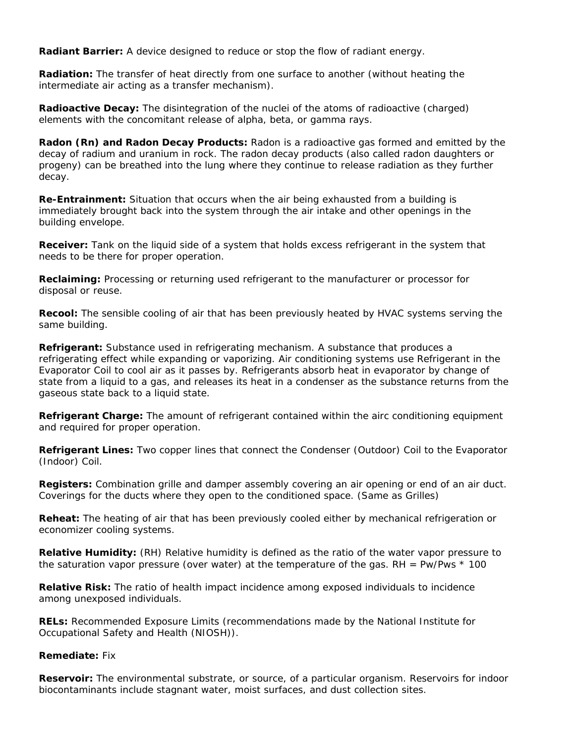**Radiant Barrier:** A device designed to reduce or stop the flow of radiant energy.

**Radiation:** The transfer of heat directly from one surface to another (without heating the intermediate air acting as a transfer mechanism).

**Radioactive Decay:** The disintegration of the nuclei of the atoms of radioactive (charged) elements with the concomitant release of alpha, beta, or gamma rays.

**Radon (Rn) and Radon Decay Products:** Radon is a radioactive gas formed and emitted by the decay of radium and uranium in rock. The radon decay products (also called radon daughters or progeny) can be breathed into the lung where they continue to release radiation as they further decay.

**Re-Entrainment:** Situation that occurs when the air being exhausted from a building is immediately brought back into the system through the air intake and other openings in the building envelope.

**Receiver:** Tank on the liquid side of a system that holds excess refrigerant in the system that needs to be there for proper operation.

**Reclaiming:** Processing or returning used refrigerant to the manufacturer or processor for disposal or reuse.

**Recool:** The sensible cooling of air that has been previously heated by HVAC systems serving the same building.

**Refrigerant:** Substance used in refrigerating mechanism. A substance that produces a refrigerating effect while expanding or vaporizing. Air conditioning systems use Refrigerant in the Evaporator Coil to cool air as it passes by. Refrigerants absorb heat in evaporator by change of state from a liquid to a gas, and releases its heat in a condenser as the substance returns from the gaseous state back to a liquid state.

**Refrigerant Charge:** The amount of refrigerant contained within the airc conditioning equipment and required for proper operation.

**Refrigerant Lines:** Two copper lines that connect the Condenser (Outdoor) Coil to the Evaporator (Indoor) Coil.

**Registers:** Combination grille and damper assembly covering an air opening or end of an air duct. Coverings for the ducts where they open to the conditioned space. (Same as Grilles)

**Reheat:** The heating of air that has been previously cooled either by mechanical refrigeration or economizer cooling systems.

**Relative Humidity:** (RH) Relative humidity is defined as the ratio of the water vapor pressure to the saturation vapor pressure (over water) at the temperature of the gas. RH =  $Pw/Pws * 100$ 

**Relative Risk:** The ratio of health impact incidence among exposed individuals to incidence among unexposed individuals.

**RELs:** Recommended Exposure Limits (recommendations made by the National Institute for Occupational Safety and Health (NIOSH)).

## **Remediate:** Fix

**Reservoir:** The environmental substrate, or source, of a particular organism. Reservoirs for indoor biocontaminants include stagnant water, moist surfaces, and dust collection sites.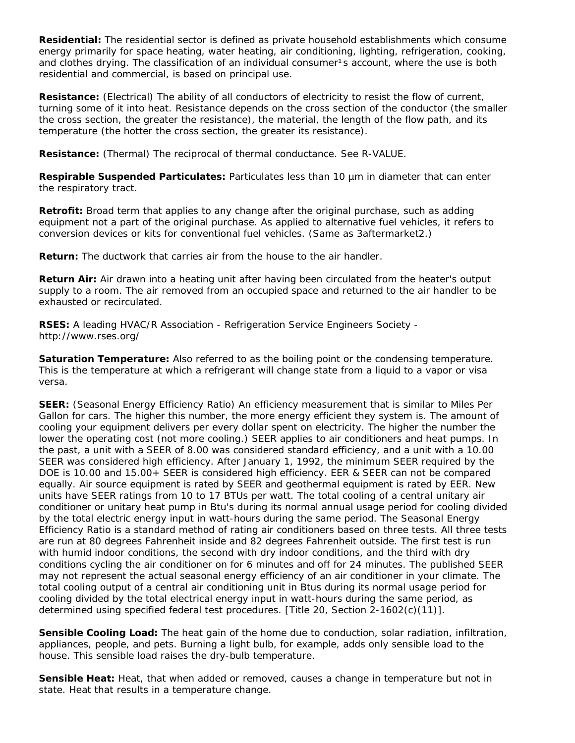**Residential:** The residential sector is defined as private household establishments which consume energy primarily for space heating, water heating, air conditioning, lighting, refrigeration, cooking, and clothes drying. The classification of an individual consumer<sup>1</sup>s account, where the use is both residential and commercial, is based on principal use.

**Resistance:** (Electrical) The ability of all conductors of electricity to resist the flow of current, turning some of it into heat. Resistance depends on the cross section of the conductor (the smaller the cross section, the greater the resistance), the material, the length of the flow path, and its temperature (the hotter the cross section, the greater its resistance).

**Resistance:** (Thermal) The reciprocal of thermal conductance. See R-VALUE.

**Respirable Suspended Particulates:** Particulates less than 10 µm in diameter that can enter the respiratory tract.

**Retrofit:** Broad term that applies to any change after the original purchase, such as adding equipment not a part of the original purchase. As applied to alternative fuel vehicles, it refers to conversion devices or kits for conventional fuel vehicles. (Same as 3aftermarket2.)

**Return:** The ductwork that carries air from the house to the air handler.

**Return Air:** Air drawn into a heating unit after having been circulated from the heater's output supply to a room. The air removed from an occupied space and returned to the air handler to be exhausted or recirculated.

**RSES:** A leading HVAC/R Association - Refrigeration Service Engineers Society http://www.rses.org/

**Saturation Temperature:** Also referred to as the boiling point or the condensing temperature. This is the temperature at which a refrigerant will change state from a liquid to a vapor or visa versa.

**SEER:** (Seasonal Energy Efficiency Ratio) An efficiency measurement that is similar to Miles Per Gallon for cars. The higher this number, the more energy efficient they system is. The amount of cooling your equipment delivers per every dollar spent on electricity. The higher the number the lower the operating cost (not more cooling.) SEER applies to air conditioners and heat pumps. In the past, a unit with a SEER of 8.00 was considered standard efficiency, and a unit with a 10.00 SEER was considered high efficiency. After January 1, 1992, the minimum SEER required by the DOE is 10.00 and 15.00+ SEER is considered high efficiency. EER & SEER can not be compared equally. Air source equipment is rated by SEER and geothermal equipment is rated by EER. New units have SEER ratings from 10 to 17 BTUs per watt. The total cooling of a central unitary air conditioner or unitary heat pump in Btu's during its normal annual usage period for cooling divided by the total electric energy input in watt-hours during the same period. The Seasonal Energy Efficiency Ratio is a standard method of rating air conditioners based on three tests. All three tests are run at 80 degrees Fahrenheit inside and 82 degrees Fahrenheit outside. The first test is run with humid indoor conditions, the second with dry indoor conditions, and the third with dry conditions cycling the air conditioner on for 6 minutes and off for 24 minutes. The published SEER may not represent the actual seasonal energy efficiency of an air conditioner in your climate. The total cooling output of a central air conditioning unit in Btus during its normal usage period for cooling divided by the total electrical energy input in watt-hours during the same period, as determined using specified federal test procedures. [Title 20, Section 2-1602(c)(11)].

**Sensible Cooling Load:** The heat gain of the home due to conduction, solar radiation, infiltration, appliances, people, and pets. Burning a light bulb, for example, adds only sensible load to the house. This sensible load raises the dry-bulb temperature.

**Sensible Heat:** Heat, that when added or removed, causes a change in temperature but not in state. Heat that results in a temperature change.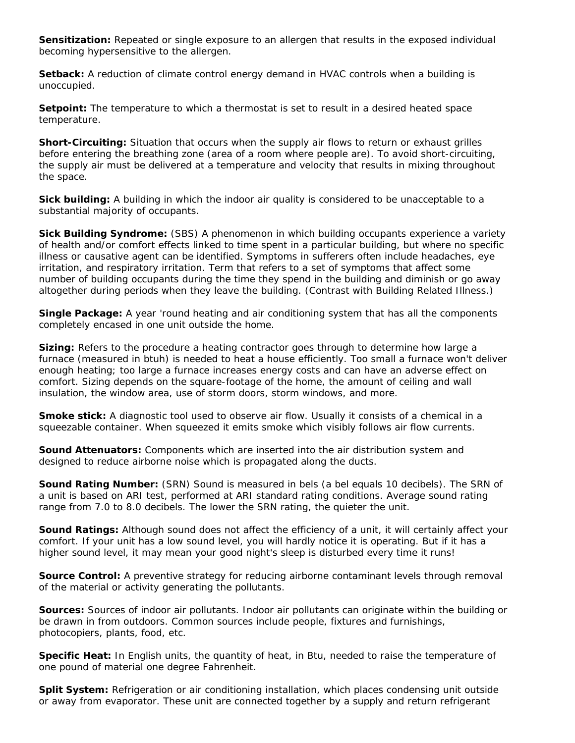**Sensitization:** Repeated or single exposure to an allergen that results in the exposed individual becoming hypersensitive to the allergen.

**Setback:** A reduction of climate control energy demand in HVAC controls when a building is unoccupied.

**Setpoint:** The temperature to which a thermostat is set to result in a desired heated space temperature.

**Short-Circuiting:** Situation that occurs when the supply air flows to return or exhaust grilles before entering the breathing zone (area of a room where people are). To avoid short-circuiting, the supply air must be delivered at a temperature and velocity that results in mixing throughout the space.

**Sick building:** A building in which the indoor air quality is considered to be unacceptable to a substantial majority of occupants.

**Sick Building Syndrome:** (SBS) A phenomenon in which building occupants experience a variety of health and/or comfort effects linked to time spent in a particular building, but where no specific illness or causative agent can be identified. Symptoms in sufferers often include headaches, eye irritation, and respiratory irritation. Term that refers to a set of symptoms that affect some number of building occupants during the time they spend in the building and diminish or go away altogether during periods when they leave the building. (Contrast with Building Related Illness.)

**Single Package:** A year 'round heating and air conditioning system that has all the components completely encased in one unit outside the home.

**Sizing:** Refers to the procedure a heating contractor goes through to determine how large a furnace (measured in btuh) is needed to heat a house efficiently. Too small a furnace won't deliver enough heating; too large a furnace increases energy costs and can have an adverse effect on comfort. Sizing depends on the square-footage of the home, the amount of ceiling and wall insulation, the window area, use of storm doors, storm windows, and more.

**Smoke stick:** A diagnostic tool used to observe air flow. Usually it consists of a chemical in a squeezable container. When squeezed it emits smoke which visibly follows air flow currents.

**Sound Attenuators:** Components which are inserted into the air distribution system and designed to reduce airborne noise which is propagated along the ducts.

**Sound Rating Number:** (SRN) Sound is measured in bels (a bel equals 10 decibels). The SRN of a unit is based on ARI test, performed at ARI standard rating conditions. Average sound rating range from 7.0 to 8.0 decibels. The lower the SRN rating, the quieter the unit.

**Sound Ratings:** Although sound does not affect the efficiency of a unit, it will certainly affect your comfort. If your unit has a low sound level, you will hardly notice it is operating. But if it has a higher sound level, it may mean your good night's sleep is disturbed every time it runs!

**Source Control:** A preventive strategy for reducing airborne contaminant levels through removal of the material or activity generating the pollutants.

**Sources:** Sources of indoor air pollutants. Indoor air pollutants can originate within the building or be drawn in from outdoors. Common sources include people, fixtures and furnishings, photocopiers, plants, food, etc.

**Specific Heat:** In English units, the quantity of heat, in Btu, needed to raise the temperature of one pound of material one degree Fahrenheit.

**Split System:** Refrigeration or air conditioning installation, which places condensing unit outside or away from evaporator. These unit are connected together by a supply and return refrigerant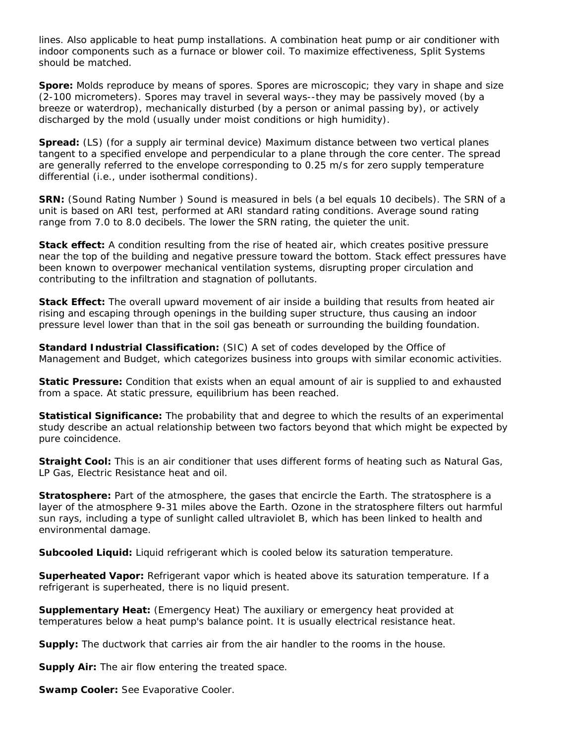lines. Also applicable to heat pump installations. A combination heat pump or air conditioner with indoor components such as a furnace or blower coil. To maximize effectiveness, Split Systems should be matched.

**Spore:** Molds reproduce by means of spores. Spores are microscopic; they vary in shape and size (2-100 micrometers). Spores may travel in several ways--they may be passively moved (by a breeze or waterdrop), mechanically disturbed (by a person or animal passing by), or actively discharged by the mold (usually under moist conditions or high humidity).

**Spread:** (LS) (for a supply air terminal device) Maximum distance between two vertical planes tangent to a specified envelope and perpendicular to a plane through the core center. The spread are generally referred to the envelope corresponding to 0.25 m/s for zero supply temperature differential (i.e., under isothermal conditions).

**SRN:** (Sound Rating Number ) Sound is measured in bels (a bel equals 10 decibels). The SRN of a unit is based on ARI test, performed at ARI standard rating conditions. Average sound rating range from 7.0 to 8.0 decibels. The lower the SRN rating, the quieter the unit.

**Stack effect:** A condition resulting from the rise of heated air, which creates positive pressure near the top of the building and negative pressure toward the bottom. Stack effect pressures have been known to overpower mechanical ventilation systems, disrupting proper circulation and contributing to the infiltration and stagnation of pollutants.

**Stack Effect:** The overall upward movement of air inside a building that results from heated air rising and escaping through openings in the building super structure, thus causing an indoor pressure level lower than that in the soil gas beneath or surrounding the building foundation.

**Standard Industrial Classification:** (SIC) A set of codes developed by the Office of Management and Budget, which categorizes business into groups with similar economic activities.

**Static Pressure:** Condition that exists when an equal amount of air is supplied to and exhausted from a space. At static pressure, equilibrium has been reached.

**Statistical Significance:** The probability that and degree to which the results of an experimental study describe an actual relationship between two factors beyond that which might be expected by pure coincidence.

**Straight Cool:** This is an air conditioner that uses different forms of heating such as Natural Gas, LP Gas, Electric Resistance heat and oil.

**Stratosphere:** Part of the atmosphere, the gases that encircle the Earth. The stratosphere is a layer of the atmosphere 9-31 miles above the Earth. Ozone in the stratosphere filters out harmful sun rays, including a type of sunlight called ultraviolet B, which has been linked to health and environmental damage.

**Subcooled Liquid:** Liquid refrigerant which is cooled below its saturation temperature.

**Superheated Vapor:** Refrigerant vapor which is heated above its saturation temperature. If a refrigerant is superheated, there is no liquid present.

**Supplementary Heat:** (Emergency Heat) The auxiliary or emergency heat provided at temperatures below a heat pump's balance point. It is usually electrical resistance heat.

**Supply:** The ductwork that carries air from the air handler to the rooms in the house.

**Supply Air:** The air flow entering the treated space.

**Swamp Cooler:** See Evaporative Cooler.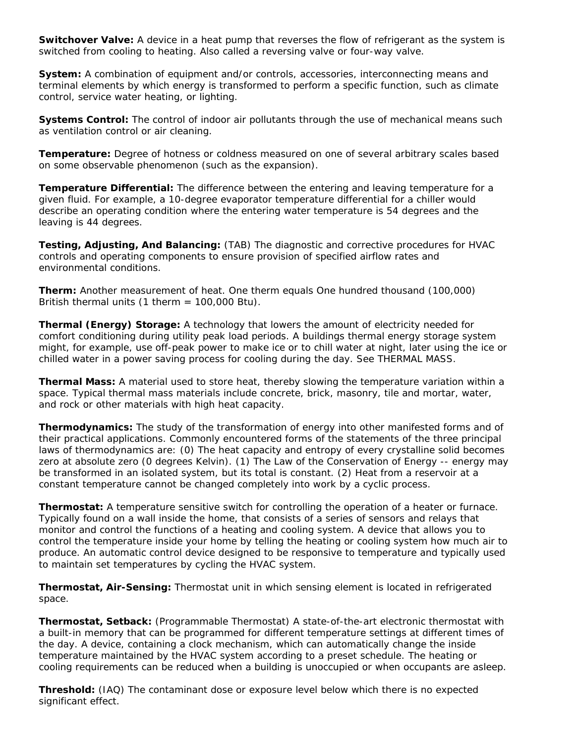**Switchover Valve:** A device in a heat pump that reverses the flow of refrigerant as the system is switched from cooling to heating. Also called a reversing valve or four-way valve.

**System:** A combination of equipment and/or controls, accessories, interconnecting means and terminal elements by which energy is transformed to perform a specific function, such as climate control, service water heating, or lighting.

**Systems Control:** The control of indoor air pollutants through the use of mechanical means such as ventilation control or air cleaning.

**Temperature:** Degree of hotness or coldness measured on one of several arbitrary scales based on some observable phenomenon (such as the expansion).

**Temperature Differential:** The difference between the entering and leaving temperature for a given fluid. For example, a 10-degree evaporator temperature differential for a chiller would describe an operating condition where the entering water temperature is 54 degrees and the leaving is 44 degrees.

**Testing, Adjusting, And Balancing:** (TAB) The diagnostic and corrective procedures for HVAC controls and operating components to ensure provision of specified airflow rates and environmental conditions.

**Therm:** Another measurement of heat. One therm equals One hundred thousand (100,000) British thermal units  $(1$  therm = 100,000 Btu).

**Thermal (Energy) Storage:** A technology that lowers the amount of electricity needed for comfort conditioning during utility peak load periods. A buildings thermal energy storage system might, for example, use off-peak power to make ice or to chill water at night, later using the ice or chilled water in a power saving process for cooling during the day. See THERMAL MASS.

**Thermal Mass:** A material used to store heat, thereby slowing the temperature variation within a space. Typical thermal mass materials include concrete, brick, masonry, tile and mortar, water, and rock or other materials with high heat capacity.

**Thermodynamics:** The study of the transformation of energy into other manifested forms and of their practical applications. Commonly encountered forms of the statements of the three principal laws of thermodynamics are: (0) The heat capacity and entropy of every crystalline solid becomes zero at absolute zero (0 degrees Kelvin). (1) The Law of the Conservation of Energy -- energy may be transformed in an isolated system, but its total is constant. (2) Heat from a reservoir at a constant temperature cannot be changed completely into work by a cyclic process.

**Thermostat:** A temperature sensitive switch for controlling the operation of a heater or furnace. Typically found on a wall inside the home, that consists of a series of sensors and relays that monitor and control the functions of a heating and cooling system. A device that allows you to control the temperature inside your home by telling the heating or cooling system how much air to produce. An automatic control device designed to be responsive to temperature and typically used to maintain set temperatures by cycling the HVAC system.

**Thermostat, Air-Sensing:** Thermostat unit in which sensing element is located in refrigerated space.

**Thermostat, Setback:** (Programmable Thermostat) A state-of-the-art electronic thermostat with a built-in memory that can be programmed for different temperature settings at different times of the day. A device, containing a clock mechanism, which can automatically change the inside temperature maintained by the HVAC system according to a preset schedule. The heating or cooling requirements can be reduced when a building is unoccupied or when occupants are asleep.

**Threshold:** (IAQ) The contaminant dose or exposure level below which there is no expected significant effect.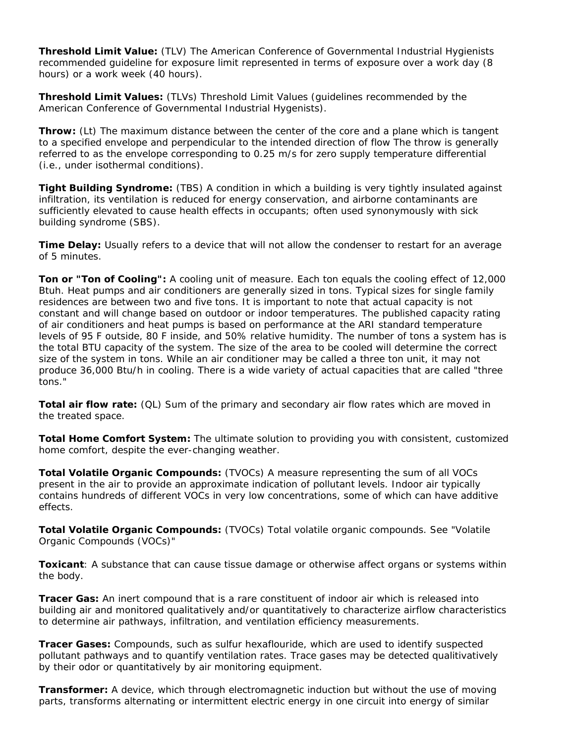**Threshold Limit Value:** (TLV) The American Conference of Governmental Industrial Hygienists recommended guideline for exposure limit represented in terms of exposure over a work day (8 hours) or a work week (40 hours).

**Threshold Limit Values:** (TLVs) Threshold Limit Values (guidelines recommended by the American Conference of Governmental Industrial Hygenists).

**Throw:** (Lt) The maximum distance between the center of the core and a plane which is tangent to a specified envelope and perpendicular to the intended direction of flow The throw is generally referred to as the envelope corresponding to 0.25 m/s for zero supply temperature differential (i.e., under isothermal conditions).

**Tight Building Syndrome:** (TBS) A condition in which a building is very tightly insulated against infiltration, its ventilation is reduced for energy conservation, and airborne contaminants are sufficiently elevated to cause health effects in occupants; often used synonymously with sick building syndrome (SBS).

**Time Delay:** Usually refers to a device that will not allow the condenser to restart for an average of 5 minutes.

**Ton or "Ton of Cooling":** A cooling unit of measure. Each ton equals the cooling effect of 12,000 Btuh. Heat pumps and air conditioners are generally sized in tons. Typical sizes for single family residences are between two and five tons. It is important to note that actual capacity is not constant and will change based on outdoor or indoor temperatures. The published capacity rating of air conditioners and heat pumps is based on performance at the ARI standard temperature levels of 95 F outside, 80 F inside, and 50% relative humidity. The number of tons a system has is the total BTU capacity of the system. The size of the area to be cooled will determine the correct size of the system in tons. While an air conditioner may be called a three ton unit, it may not produce 36,000 Btu/h in cooling. There is a wide variety of actual capacities that are called "three tons."

**Total air flow rate:** (QL) Sum of the primary and secondary air flow rates which are moved in the treated space.

**Total Home Comfort System:** The ultimate solution to providing you with consistent, customized home comfort, despite the ever-changing weather.

**Total Volatile Organic Compounds:** (TVOCs) A measure representing the sum of all VOCs present in the air to provide an approximate indication of pollutant levels. Indoor air typically contains hundreds of different VOCs in very low concentrations, some of which can have additive effects.

**Total Volatile Organic Compounds:** (TVOCs) Total volatile organic compounds. See "Volatile Organic Compounds (VOCs)"

**Toxicant**: A substance that can cause tissue damage or otherwise affect organs or systems within the body.

**Tracer Gas:** An inert compound that is a rare constituent of indoor air which is released into building air and monitored qualitatively and/or quantitatively to characterize airflow characteristics to determine air pathways, infiltration, and ventilation efficiency measurements.

**Tracer Gases:** Compounds, such as sulfur hexaflouride, which are used to identify suspected pollutant pathways and to quantify ventilation rates. Trace gases may be detected qualitivatively by their odor or quantitatively by air monitoring equipment.

**Transformer:** A device, which through electromagnetic induction but without the use of moving parts, transforms alternating or intermittent electric energy in one circuit into energy of similar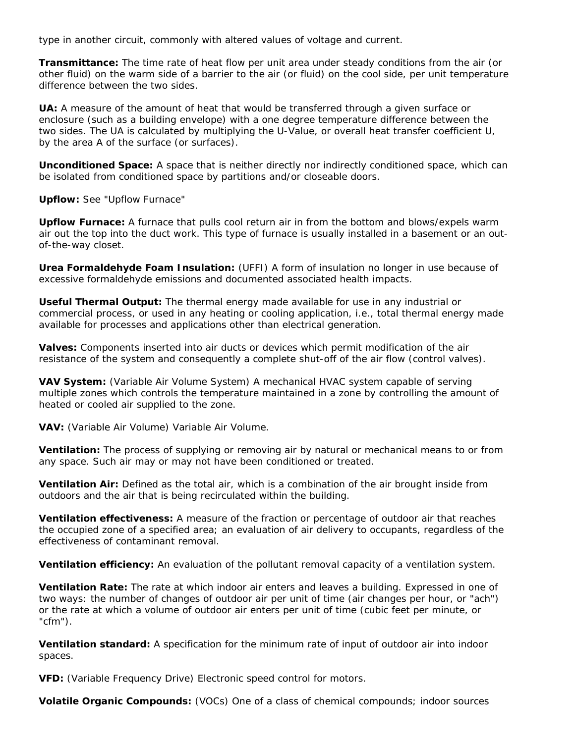type in another circuit, commonly with altered values of voltage and current.

**Transmittance:** The time rate of heat flow per unit area under steady conditions from the air (or other fluid) on the warm side of a barrier to the air (or fluid) on the cool side, per unit temperature difference between the two sides.

**UA:** A measure of the amount of heat that would be transferred through a given surface or enclosure (such as a building envelope) with a one degree temperature difference between the two sides. The UA is calculated by multiplying the U-Value, or overall heat transfer coefficient U, by the area A of the surface (or surfaces).

**Unconditioned Space:** A space that is neither directly nor indirectly conditioned space, which can be isolated from conditioned space by partitions and/or closeable doors.

**Upflow:** See "Upflow Furnace"

**Upflow Furnace:** A furnace that pulls cool return air in from the bottom and blows/expels warm air out the top into the duct work. This type of furnace is usually installed in a basement or an outof-the-way closet.

**Urea Formaldehyde Foam Insulation:** (UFFI) A form of insulation no longer in use because of excessive formaldehyde emissions and documented associated health impacts.

**Useful Thermal Output:** The thermal energy made available for use in any industrial or commercial process, or used in any heating or cooling application, i.e., total thermal energy made available for processes and applications other than electrical generation.

**Valves:** Components inserted into air ducts or devices which permit modification of the air resistance of the system and consequently a complete shut-off of the air flow (control valves).

**VAV System:** (Variable Air Volume System) A mechanical HVAC system capable of serving multiple zones which controls the temperature maintained in a zone by controlling the amount of heated or cooled air supplied to the zone.

**VAV:** (Variable Air Volume) Variable Air Volume.

**Ventilation:** The process of supplying or removing air by natural or mechanical means to or from any space. Such air may or may not have been conditioned or treated.

**Ventilation Air:** Defined as the total air, which is a combination of the air brought inside from outdoors and the air that is being recirculated within the building.

**Ventilation effectiveness:** A measure of the fraction or percentage of outdoor air that reaches the occupied zone of a specified area; an evaluation of air delivery to occupants, regardless of the effectiveness of contaminant removal.

**Ventilation efficiency:** An evaluation of the pollutant removal capacity of a ventilation system.

**Ventilation Rate:** The rate at which indoor air enters and leaves a building. Expressed in one of two ways: the number of changes of outdoor air per unit of time (air changes per hour, or "ach") or the rate at which a volume of outdoor air enters per unit of time (cubic feet per minute, or "cfm").

**Ventilation standard:** A specification for the minimum rate of input of outdoor air into indoor spaces.

**VFD:** (Variable Frequency Drive) Electronic speed control for motors.

**Volatile Organic Compounds:** (VOCs) One of a class of chemical compounds; indoor sources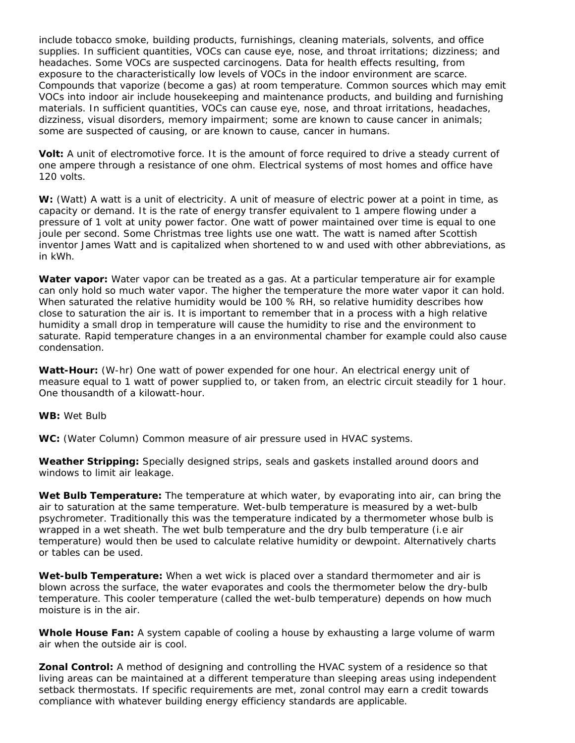include tobacco smoke, building products, furnishings, cleaning materials, solvents, and office supplies. In sufficient quantities, VOCs can cause eye, nose, and throat irritations; dizziness; and headaches. Some VOCs are suspected carcinogens. Data for health effects resulting, from exposure to the characteristically low levels of VOCs in the indoor environment are scarce. Compounds that vaporize (become a gas) at room temperature. Common sources which may emit VOCs into indoor air include housekeeping and maintenance products, and building and furnishing materials. In sufficient quantities, VOCs can cause eye, nose, and throat irritations, headaches, dizziness, visual disorders, memory impairment; some are known to cause cancer in animals; some are suspected of causing, or are known to cause, cancer in humans.

**Volt:** A unit of electromotive force. It is the amount of force required to drive a steady current of one ampere through a resistance of one ohm. Electrical systems of most homes and office have 120 volts.

**W:** (Watt) A watt is a unit of electricity. A unit of measure of electric power at a point in time, as capacity or demand. It is the rate of energy transfer equivalent to 1 ampere flowing under a pressure of 1 volt at unity power factor. One watt of power maintained over time is equal to one joule per second. Some Christmas tree lights use one watt. The watt is named after Scottish inventor James Watt and is capitalized when shortened to w and used with other abbreviations, as in kWh.

**Water vapor:** Water vapor can be treated as a gas. At a particular temperature air for example can only hold so much water vapor. The higher the temperature the more water vapor it can hold. When saturated the relative humidity would be 100 % RH, so relative humidity describes how close to saturation the air is. It is important to remember that in a process with a high relative humidity a small drop in temperature will cause the humidity to rise and the environment to saturate. Rapid temperature changes in a an environmental chamber for example could also cause condensation.

**Watt-Hour:** (W-hr) One watt of power expended for one hour. An electrical energy unit of measure equal to 1 watt of power supplied to, or taken from, an electric circuit steadily for 1 hour. One thousandth of a kilowatt-hour.

**WB:** Wet Bulb

**WC:** (Water Column) Common measure of air pressure used in HVAC systems.

**Weather Stripping:** Specially designed strips, seals and gaskets installed around doors and windows to limit air leakage.

**Wet Bulb Temperature:** The temperature at which water, by evaporating into air, can bring the air to saturation at the same temperature. Wet-bulb temperature is measured by a wet-bulb psychrometer. Traditionally this was the temperature indicated by a thermometer whose bulb is wrapped in a wet sheath. The wet bulb temperature and the dry bulb temperature (i.e air temperature) would then be used to calculate relative humidity or dewpoint. Alternatively charts or tables can be used.

**Wet-bulb Temperature:** When a wet wick is placed over a standard thermometer and air is blown across the surface, the water evaporates and cools the thermometer below the dry-bulb temperature. This cooler temperature (called the wet-bulb temperature) depends on how much moisture is in the air.

**Whole House Fan:** A system capable of cooling a house by exhausting a large volume of warm air when the outside air is cool.

**Zonal Control:** A method of designing and controlling the HVAC system of a residence so that living areas can be maintained at a different temperature than sleeping areas using independent setback thermostats. If specific requirements are met, zonal control may earn a credit towards compliance with whatever building energy efficiency standards are applicable.